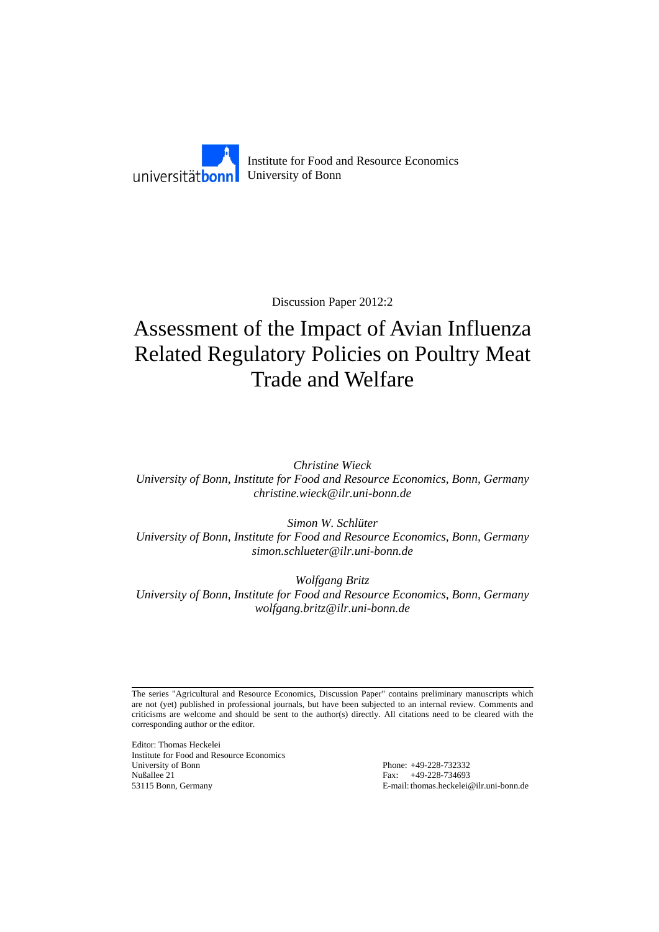

Discussion Paper 2012:2

# Assessment of the Impact of Avian Influenza Related Regulatory Policies on Poultry Meat Trade and Welfare

*Christine Wieck University of Bonn, Institute for Food and Resource Economics, Bonn, Germany christine.wieck@ilr.uni-bonn.de* 

*Simon W. Schlüter University of Bonn, Institute for Food and Resource Economics, Bonn, Germany simon.schlueter@ilr.uni-bonn.de* 

*Wolfgang Britz University of Bonn, Institute for Food and Resource Economics, Bonn, Germany wolfgang.britz@ilr.uni-bonn.de* 

The series "Agricultural and Resource Economics, Discussion Paper" contains preliminary manuscripts which are not (yet) published in professional journals, but have been subjected to an internal review. Comments and criticisms are welcome and should be sent to the author(s) directly. All citations need to be cleared with the corresponding author or the editor.

Editor: Thomas Heckelei Institute for Food and Resource Economics University of Bonn Phone: +49-228-732332 Nußallee 21 Fax: +49-228-734693<br>53115 Bonn, Germany E-mail: thomas.heckelei

E-mail: thomas.heckelei@ilr.uni-bonn.de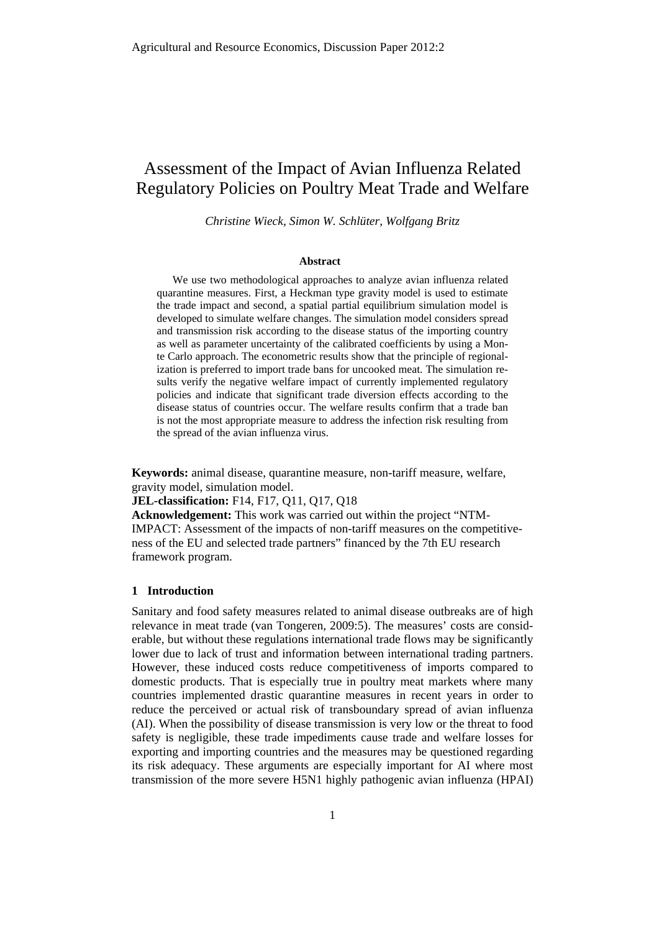## Assessment of the Impact of Avian Influenza Related Regulatory Policies on Poultry Meat Trade and Welfare

*Christine Wieck, Simon W. Schlüter, Wolfgang Britz* 

#### **Abstract**

We use two methodological approaches to analyze avian influenza related quarantine measures. First, a Heckman type gravity model is used to estimate the trade impact and second, a spatial partial equilibrium simulation model is developed to simulate welfare changes. The simulation model considers spread and transmission risk according to the disease status of the importing country as well as parameter uncertainty of the calibrated coefficients by using a Monte Carlo approach. The econometric results show that the principle of regionalization is preferred to import trade bans for uncooked meat. The simulation results verify the negative welfare impact of currently implemented regulatory policies and indicate that significant trade diversion effects according to the disease status of countries occur. The welfare results confirm that a trade ban is not the most appropriate measure to address the infection risk resulting from the spread of the avian influenza virus.

**Keywords:** animal disease, quarantine measure, non-tariff measure, welfare, gravity model, simulation model.

#### **JEL-classification:** F14, F17, Q11, Q17, Q18

**Acknowledgement:** This work was carried out within the project "NTM-IMPACT: Assessment of the impacts of non-tariff measures on the competitiveness of the EU and selected trade partners" financed by the 7th EU research framework program.

#### **1 Introduction**

Sanitary and food safety measures related to animal disease outbreaks are of high relevance in meat trade (van Tongeren, 2009:5). The measures' costs are considerable, but without these regulations international trade flows may be significantly lower due to lack of trust and information between international trading partners. However, these induced costs reduce competitiveness of imports compared to domestic products. That is especially true in poultry meat markets where many countries implemented drastic quarantine measures in recent years in order to reduce the perceived or actual risk of transboundary spread of avian influenza (AI). When the possibility of disease transmission is very low or the threat to food safety is negligible, these trade impediments cause trade and welfare losses for exporting and importing countries and the measures may be questioned regarding its risk adequacy. These arguments are especially important for AI where most transmission of the more severe H5N1 highly pathogenic avian influenza (HPAI)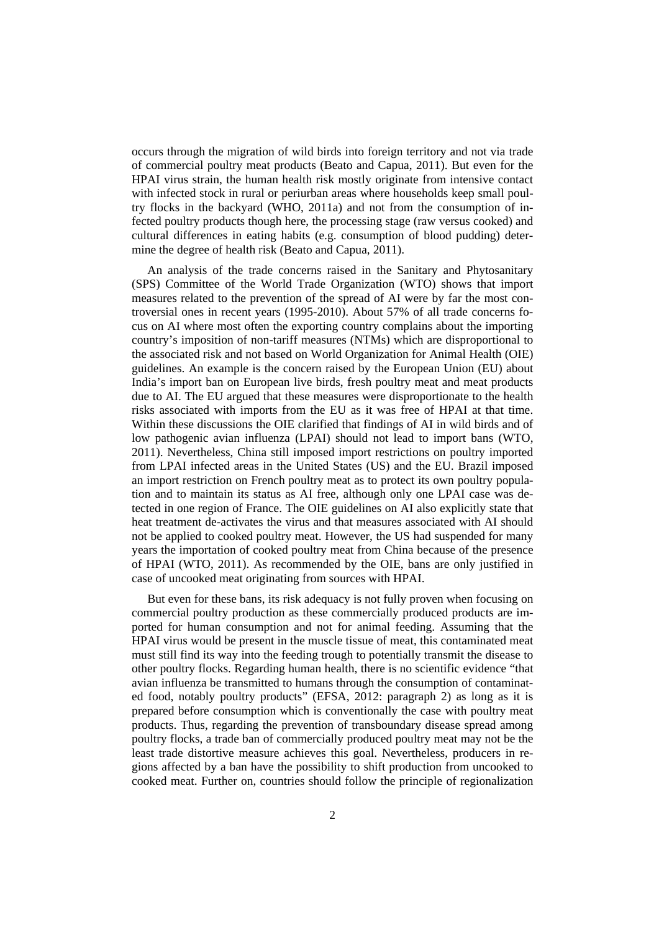occurs through the migration of wild birds into foreign territory and not via trade of commercial poultry meat products (Beato and Capua, 2011). But even for the HPAI virus strain, the human health risk mostly originate from intensive contact with infected stock in rural or periurban areas where households keep small poultry flocks in the backyard (WHO, 2011a) and not from the consumption of infected poultry products though here, the processing stage (raw versus cooked) and cultural differences in eating habits (e.g. consumption of blood pudding) determine the degree of health risk (Beato and Capua, 2011).

An analysis of the trade concerns raised in the Sanitary and Phytosanitary (SPS) Committee of the World Trade Organization (WTO) shows that import measures related to the prevention of the spread of AI were by far the most controversial ones in recent years (1995-2010). About 57% of all trade concerns focus on AI where most often the exporting country complains about the importing country's imposition of non-tariff measures (NTMs) which are disproportional to the associated risk and not based on World Organization for Animal Health (OIE) guidelines. An example is the concern raised by the European Union (EU) about India's import ban on European live birds, fresh poultry meat and meat products due to AI. The EU argued that these measures were disproportionate to the health risks associated with imports from the EU as it was free of HPAI at that time. Within these discussions the OIE clarified that findings of AI in wild birds and of low pathogenic avian influenza (LPAI) should not lead to import bans (WTO, 2011). Nevertheless, China still imposed import restrictions on poultry imported from LPAI infected areas in the United States (US) and the EU. Brazil imposed an import restriction on French poultry meat as to protect its own poultry population and to maintain its status as AI free, although only one LPAI case was detected in one region of France. The OIE guidelines on AI also explicitly state that heat treatment de-activates the virus and that measures associated with AI should not be applied to cooked poultry meat. However, the US had suspended for many years the importation of cooked poultry meat from China because of the presence of HPAI (WTO, 2011). As recommended by the OIE, bans are only justified in case of uncooked meat originating from sources with HPAI.

But even for these bans, its risk adequacy is not fully proven when focusing on commercial poultry production as these commercially produced products are imported for human consumption and not for animal feeding. Assuming that the HPAI virus would be present in the muscle tissue of meat, this contaminated meat must still find its way into the feeding trough to potentially transmit the disease to other poultry flocks. Regarding human health, there is no scientific evidence "that avian influenza be transmitted to humans through the consumption of contaminated food, notably poultry products" (EFSA, 2012: paragraph 2) as long as it is prepared before consumption which is conventionally the case with poultry meat products. Thus, regarding the prevention of transboundary disease spread among poultry flocks, a trade ban of commercially produced poultry meat may not be the least trade distortive measure achieves this goal. Nevertheless, producers in regions affected by a ban have the possibility to shift production from uncooked to cooked meat. Further on, countries should follow the principle of regionalization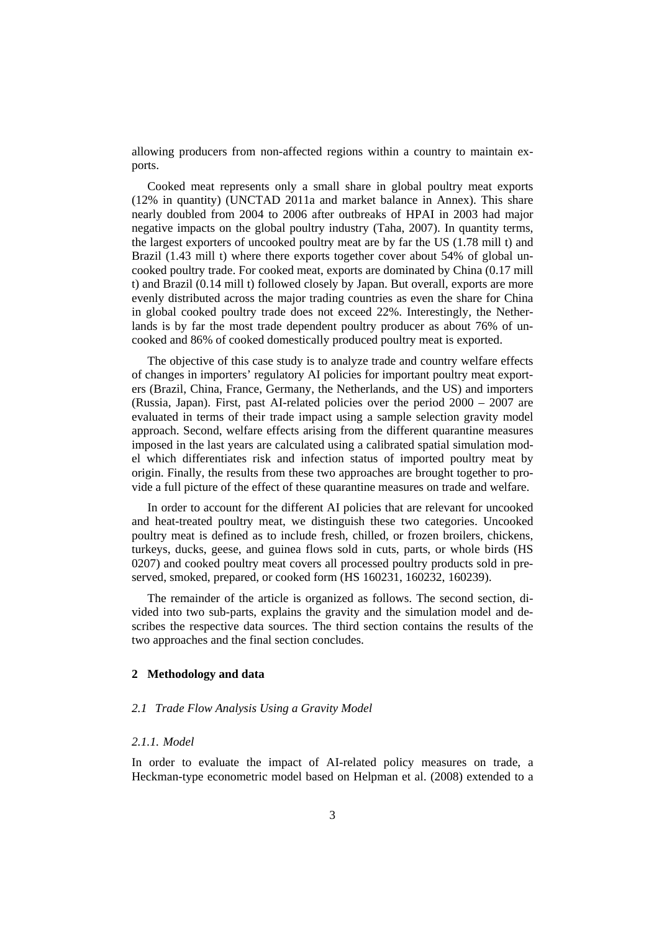allowing producers from non-affected regions within a country to maintain exports.

Cooked meat represents only a small share in global poultry meat exports (12% in quantity) (UNCTAD 2011a and market balance in Annex). This share nearly doubled from 2004 to 2006 after outbreaks of HPAI in 2003 had major negative impacts on the global poultry industry (Taha, 2007). In quantity terms, the largest exporters of uncooked poultry meat are by far the US (1.78 mill t) and Brazil (1.43 mill t) where there exports together cover about 54% of global uncooked poultry trade. For cooked meat, exports are dominated by China (0.17 mill t) and Brazil (0.14 mill t) followed closely by Japan. But overall, exports are more evenly distributed across the major trading countries as even the share for China in global cooked poultry trade does not exceed 22%. Interestingly, the Netherlands is by far the most trade dependent poultry producer as about 76% of uncooked and 86% of cooked domestically produced poultry meat is exported.

The objective of this case study is to analyze trade and country welfare effects of changes in importers' regulatory AI policies for important poultry meat exporters (Brazil, China, France, Germany, the Netherlands, and the US) and importers (Russia, Japan). First, past AI-related policies over the period 2000 – 2007 are evaluated in terms of their trade impact using a sample selection gravity model approach. Second, welfare effects arising from the different quarantine measures imposed in the last years are calculated using a calibrated spatial simulation model which differentiates risk and infection status of imported poultry meat by origin. Finally, the results from these two approaches are brought together to provide a full picture of the effect of these quarantine measures on trade and welfare.

In order to account for the different AI policies that are relevant for uncooked and heat-treated poultry meat, we distinguish these two categories. Uncooked poultry meat is defined as to include fresh, chilled, or frozen broilers, chickens, turkeys, ducks, geese, and guinea flows sold in cuts, parts, or whole birds (HS 0207) and cooked poultry meat covers all processed poultry products sold in preserved, smoked, prepared, or cooked form (HS 160231, 160232, 160239).

The remainder of the article is organized as follows. The second section, divided into two sub-parts, explains the gravity and the simulation model and describes the respective data sources. The third section contains the results of the two approaches and the final section concludes.

#### **2 Methodology and data**

#### *2.1 Trade Flow Analysis Using a Gravity Model*

#### *2.1.1. Model*

In order to evaluate the impact of AI-related policy measures on trade, a Heckman-type econometric model based on Helpman et al. (2008) extended to a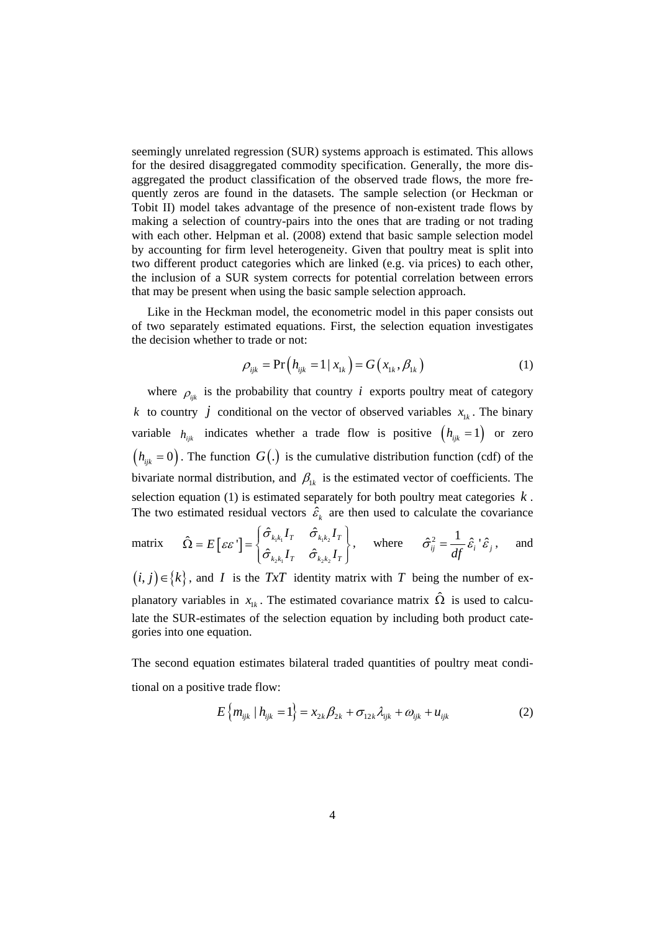seemingly unrelated regression (SUR) systems approach is estimated. This allows for the desired disaggregated commodity specification. Generally, the more disaggregated the product classification of the observed trade flows, the more frequently zeros are found in the datasets. The sample selection (or Heckman or Tobit II) model takes advantage of the presence of non-existent trade flows by making a selection of country-pairs into the ones that are trading or not trading with each other. Helpman et al. (2008) extend that basic sample selection model by accounting for firm level heterogeneity. Given that poultry meat is split into two different product categories which are linked (e.g. via prices) to each other, the inclusion of a SUR system corrects for potential correlation between errors that may be present when using the basic sample selection approach.

Like in the Heckman model, the econometric model in this paper consists out of two separately estimated equations. First, the selection equation investigates the decision whether to trade or not:

$$
\rho_{ijk} = \Pr(h_{ijk} = 1 | x_{1k}) = G(x_{1k}, \beta_{1k})
$$
\n(1)

where  $\rho_{ijk}$  is the probability that country *i* exports poultry meat of category *k* to country *j* conditional on the vector of observed variables  $x_{1k}$ . The binary variable  $h_{ijk}$  indicates whether a trade flow is positive  $(h_{ijk} = 1)$  or zero  $(h_{ijk} = 0)$ . The function  $G(.)$  is the cumulative distribution function (cdf) of the bivariate normal distribution, and  $\beta_{1k}$  is the estimated vector of coefficients. The selection equation (1) is estimated separately for both poultry meat categories *k* . The two estimated residual vectors  $\hat{\epsilon}_k$  are then used to calculate the covariance

matrix 
$$
\hat{\Omega} = E\left[\varepsilon \varepsilon\right] = \begin{cases} \hat{\sigma}_{k_1 k_1} I_T & \hat{\sigma}_{k_1 k_2} I_T \\ \hat{\sigma}_{k_2 k_1} I_T & \hat{\sigma}_{k_2 k_2} I_T \end{cases}
$$
, where  $\hat{\sigma}_{ij}^2 = \frac{1}{df} \hat{\varepsilon}_i \hat{\varepsilon}_j$ , and

 $(i, j) \in \{k\}$ , and *I* is the *TxT* identity matrix with *T* being the number of explanatory variables in  $x_{1k}$ . The estimated covariance matrix  $\hat{\Omega}$  is used to calculate the SUR-estimates of the selection equation by including both product categories into one equation.

The second equation estimates bilateral traded quantities of poultry meat conditional on a positive trade flow:

$$
E\left\{m_{ijk} \mid h_{ijk} = 1\right\} = x_{2k}\beta_{2k} + \sigma_{12k}\lambda_{ijk} + \omega_{ijk} + u_{ijk}
$$
 (2)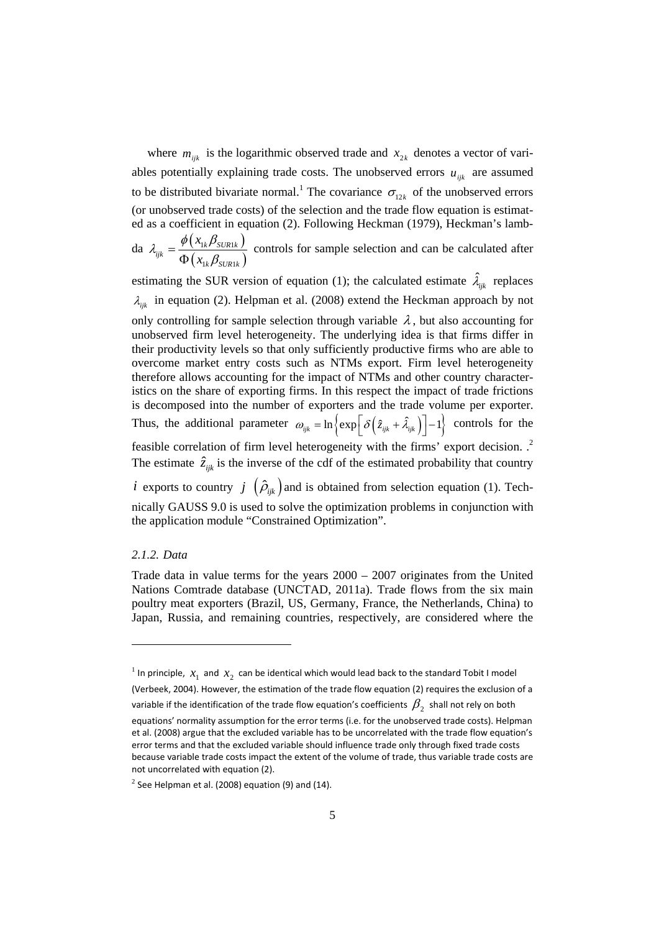where  $m_{ijk}$  is the logarithmic observed trade and  $x_{2k}$  denotes a vector of variables potentially explaining trade costs. The unobserved errors  $u_{ijk}$  are assumed to be distributed bivariate normal.<sup>1</sup> The covariance  $\sigma_{12k}$  of the unobserved errors (or unobserved trade costs) of the selection and the trade flow equation is estimated as a coefficient in equation (2). Following Heckman (1979), Heckman's lambda  $\lambda_{ijk} = \frac{\phi(x_{1k} \beta_{SUR1k})}{\phi(x_{1k} \beta_{SUR1k})}$  $(x_{1k}\beta_{\text{SURL}})$ 1 $_k$ Psuri  $k$  $\boldsymbol{\nu}$ *SUR1k ijk x x*  $\lambda_{ijk} = \frac{\phi(x_{1k} \beta_{SUR1k})}{\Phi(x_{1k} \beta_{SUR1k})}$  controls for sample selection and can be calculated after

estimating the SUR version of equation (1); the calculated estimate  $\hat{\lambda}_{ijk}$  replaces  $\lambda_{ijk}$  in equation (2). Helpman et al. (2008) extend the Heckman approach by not only controlling for sample selection through variable  $\lambda$ , but also accounting for unobserved firm level heterogeneity. The underlying idea is that firms differ in their productivity levels so that only sufficiently productive firms who are able to overcome market entry costs such as NTMs export. Firm level heterogeneity therefore allows accounting for the impact of NTMs and other country characteristics on the share of exporting firms. In this respect the impact of trade frictions is decomposed into the number of exporters and the trade volume per exporter. Thus, the additional parameter  $\omega_{ijk} = \ln \left\{ \exp \left[ \delta \left( \hat{z}_{ijk} + \hat{\lambda}_{ijk} \right) \right] - 1 \right\}$  controls for the feasible correlation of firm level heterogeneity with the firms' export decision. .<sup>2</sup> The estimate  $\hat{z}_{ijk}$  is the inverse of the cdf of the estimated probability that country *i* exports to country *j*  $(\hat{\rho}_{ijk})$  and is obtained from selection equation (1). Technically GAUSS 9.0 is used to solve the optimization problems in conjunction with

#### *2.1.2. Data*

l

Trade data in value terms for the years 2000 – 2007 originates from the United Nations Comtrade database (UNCTAD, 2011a). Trade flows from the six main poultry meat exporters (Brazil, US, Germany, France, the Netherlands, China) to Japan, Russia, and remaining countries, respectively, are considered where the

the application module "Constrained Optimization".

1 $_{k}\nu_{\textit{\scriptsize{SUR1}}}$ 

 $k$  $\boldsymbol{\nu}$ *SUR1k* 

<sup>&</sup>lt;sup>1</sup> In principle,  $x_1$  and  $x_2$  can be identical which would lead back to the standard Tobit I model

<sup>(</sup>Verbeek, 2004). However, the estimation of the trade flow equation (2) requires the exclusion of a variable if the identification of the trade flow equation's coefficients  $\,\beta_{\textit{2}}\,$  shall not rely on both

equations' normality assumption for the error terms (i.e. for the unobserved trade costs). Helpman et al. (2008) argue that the excluded variable has to be uncorrelated with the trade flow equation's error terms and that the excluded variable should influence trade only through fixed trade costs because variable trade costs impact the extent of the volume of trade, thus variable trade costs are not uncorrelated with equation (2).

 $2$  See Helpman et al. (2008) equation (9) and (14).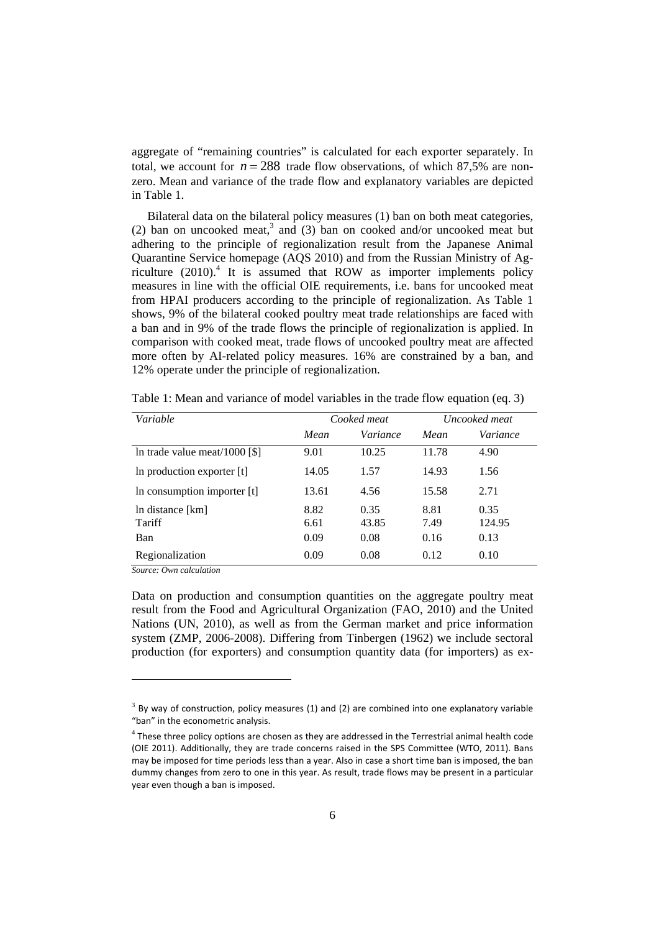aggregate of "remaining countries" is calculated for each exporter separately. In total, we account for  $n = 288$  trade flow observations, of which 87,5% are nonzero. Mean and variance of the trade flow and explanatory variables are depicted in Table 1.

Bilateral data on the bilateral policy measures (1) ban on both meat categories, (2) ban on uncooked meat,<sup>3</sup> and (3) ban on cooked and/or uncooked meat but adhering to the principle of regionalization result from the Japanese Animal Quarantine Service homepage (AQS 2010) and from the Russian Ministry of Agriculture  $(2010)^4$ . It is assumed that ROW as importer implements policy measures in line with the official OIE requirements, i.e. bans for uncooked meat from HPAI producers according to the principle of regionalization. As Table 1 shows, 9% of the bilateral cooked poultry meat trade relationships are faced with a ban and in 9% of the trade flows the principle of regionalization is applied. In comparison with cooked meat, trade flows of uncooked poultry meat are affected more often by AI-related policy measures. 16% are constrained by a ban, and 12% operate under the principle of regionalization.

| Variable                         |              | Cooked meat   | Uncooked meat |                |  |
|----------------------------------|--------------|---------------|---------------|----------------|--|
|                                  | Mean         | Variance      | Mean          | Variance       |  |
| In trade value meat/ $1000$ [\$] | 9.01         | 10.25         | 11.78         | 4.90           |  |
| In production exporter [t]       | 14.05        | 1.57          | 14.93         | 1.56           |  |
| In consumption importer [t]      | 13.61        | 4.56          | 15.58         | 2.71           |  |
| In distance [km]<br>Tariff       | 8.82<br>6.61 | 0.35<br>43.85 | 8.81<br>7.49  | 0.35<br>124.95 |  |
| Ban                              | 0.09         | 0.08          | 0.16          | 0.13           |  |
| Regionalization                  | 0.09         | 0.08          | 0.12          | 0.10           |  |

Table 1: Mean and variance of model variables in the trade flow equation (eq. 3)

*Source: Own calculation* 

l

Data on production and consumption quantities on the aggregate poultry meat result from the Food and Agricultural Organization (FAO, 2010) and the United Nations (UN, 2010), as well as from the German market and price information system (ZMP, 2006-2008). Differing from Tinbergen (1962) we include sectoral production (for exporters) and consumption quantity data (for importers) as ex-

 $3$  By way of construction, policy measures (1) and (2) are combined into one explanatory variable "ban" in the econometric analysis.

 $4$  These three policy options are chosen as they are addressed in the Terrestrial animal health code (OIE 2011). Additionally, they are trade concerns raised in the SPS Committee (WTO, 2011). Bans may be imposed for time periods less than a year. Also in case a short time ban is imposed, the ban dummy changes from zero to one in this year. As result, trade flows may be present in a particular year even though a ban is imposed.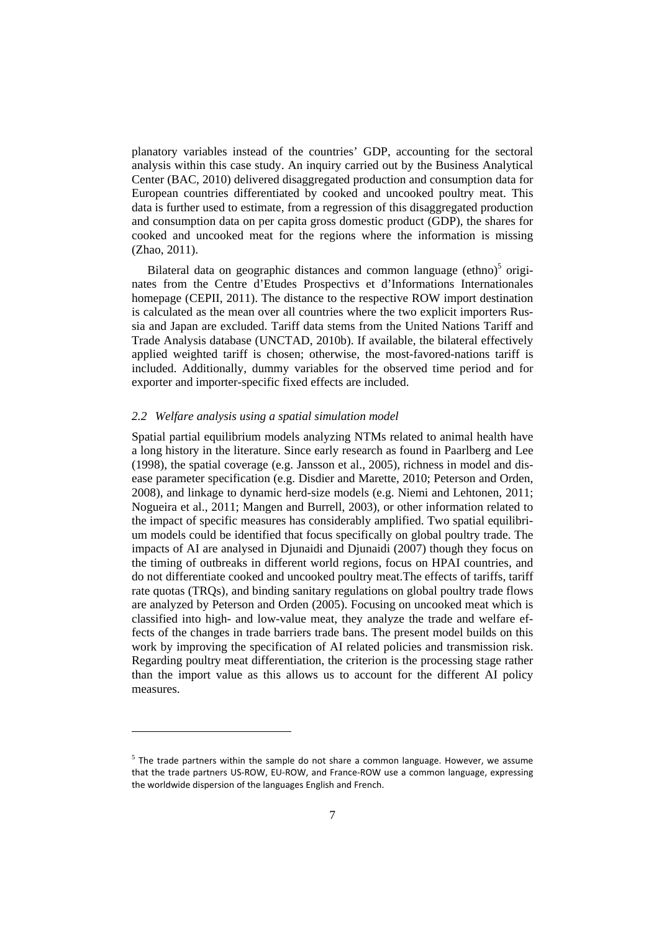planatory variables instead of the countries' GDP, accounting for the sectoral analysis within this case study. An inquiry carried out by the Business Analytical Center (BAC, 2010) delivered disaggregated production and consumption data for European countries differentiated by cooked and uncooked poultry meat. This data is further used to estimate, from a regression of this disaggregated production and consumption data on per capita gross domestic product (GDP), the shares for cooked and uncooked meat for the regions where the information is missing (Zhao, 2011).

Bilateral data on geographic distances and common language (ethno) $5$  originates from the Centre d'Etudes Prospectivs et d'Informations Internationales homepage (CEPII, 2011). The distance to the respective ROW import destination is calculated as the mean over all countries where the two explicit importers Russia and Japan are excluded. Tariff data stems from the United Nations Tariff and Trade Analysis database (UNCTAD, 2010b). If available, the bilateral effectively applied weighted tariff is chosen; otherwise, the most-favored-nations tariff is included. Additionally, dummy variables for the observed time period and for exporter and importer-specific fixed effects are included.

#### *2.2 Welfare analysis using a spatial simulation model*

 $\overline{\phantom{a}}$ 

Spatial partial equilibrium models analyzing NTMs related to animal health have a long history in the literature. Since early research as found in Paarlberg and Lee (1998), the spatial coverage (e.g. Jansson et al., 2005), richness in model and disease parameter specification (e.g. Disdier and Marette, 2010; Peterson and Orden, 2008), and linkage to dynamic herd-size models (e.g. Niemi and Lehtonen, 2011; Nogueira et al., 2011; Mangen and Burrell, 2003), or other information related to the impact of specific measures has considerably amplified. Two spatial equilibrium models could be identified that focus specifically on global poultry trade. The impacts of AI are analysed in Djunaidi and Djunaidi (2007) though they focus on the timing of outbreaks in different world regions, focus on HPAI countries, and do not differentiate cooked and uncooked poultry meat.The effects of tariffs, tariff rate quotas (TRQs), and binding sanitary regulations on global poultry trade flows are analyzed by Peterson and Orden (2005). Focusing on uncooked meat which is classified into high- and low-value meat, they analyze the trade and welfare effects of the changes in trade barriers trade bans. The present model builds on this work by improving the specification of AI related policies and transmission risk. Regarding poultry meat differentiation, the criterion is the processing stage rather than the import value as this allows us to account for the different AI policy measures.

 $<sup>5</sup>$  The trade partners within the sample do not share a common language. However, we assume</sup> that the trade partners US‐ROW, EU‐ROW, and France‐ROW use a common language, expressing the worldwide dispersion of the languages English and French.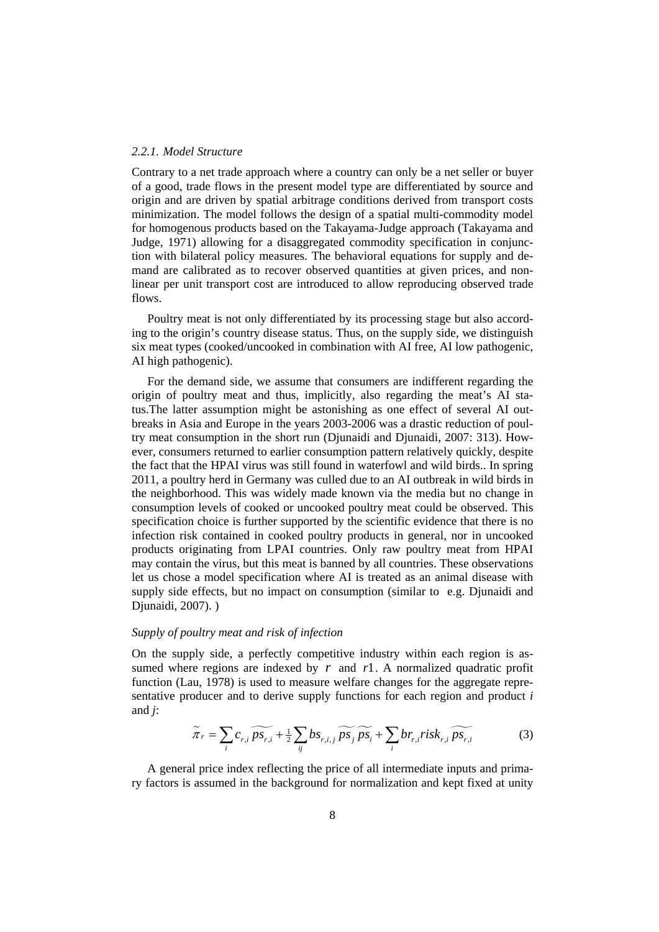#### *2.2.1. Model Structure*

Contrary to a net trade approach where a country can only be a net seller or buyer of a good, trade flows in the present model type are differentiated by source and origin and are driven by spatial arbitrage conditions derived from transport costs minimization. The model follows the design of a spatial multi-commodity model for homogenous products based on the Takayama-Judge approach (Takayama and Judge, 1971) allowing for a disaggregated commodity specification in conjunction with bilateral policy measures. The behavioral equations for supply and demand are calibrated as to recover observed quantities at given prices, and nonlinear per unit transport cost are introduced to allow reproducing observed trade flows.

Poultry meat is not only differentiated by its processing stage but also according to the origin's country disease status. Thus, on the supply side, we distinguish six meat types (cooked/uncooked in combination with AI free, AI low pathogenic, AI high pathogenic).

For the demand side, we assume that consumers are indifferent regarding the origin of poultry meat and thus, implicitly, also regarding the meat's AI status.The latter assumption might be astonishing as one effect of several AI outbreaks in Asia and Europe in the years 2003-2006 was a drastic reduction of poultry meat consumption in the short run (Djunaidi and Djunaidi, 2007: 313). However, consumers returned to earlier consumption pattern relatively quickly, despite the fact that the HPAI virus was still found in waterfowl and wild birds.. In spring 2011, a poultry herd in Germany was culled due to an AI outbreak in wild birds in the neighborhood. This was widely made known via the media but no change in consumption levels of cooked or uncooked poultry meat could be observed. This specification choice is further supported by the scientific evidence that there is no infection risk contained in cooked poultry products in general, nor in uncooked products originating from LPAI countries. Only raw poultry meat from HPAI may contain the virus, but this meat is banned by all countries. These observations let us chose a model specification where AI is treated as an animal disease with supply side effects, but no impact on consumption (similar to e.g. Djunaidi and Djunaidi, 2007). )

#### *Supply of poultry meat and risk of infection*

On the supply side, a perfectly competitive industry within each region is assumed where regions are indexed by  $r$  and  $r$ 1. A normalized quadratic profit function (Lau, 1978) is used to measure welfare changes for the aggregate representative producer and to derive supply functions for each region and product *i*  and *j*:

$$
\widetilde{\pi}_r = \sum_i c_{r,i} \widetilde{ps_{r,i}} + \frac{1}{2} \sum_{ij} bs_{r,i,j} \widetilde{ps_j} \widetilde{ps_i} + \sum_i br_{r,i} risk_{r,i} \widetilde{ps_{r,i}}
$$
(3)

A general price index reflecting the price of all intermediate inputs and primary factors is assumed in the background for normalization and kept fixed at unity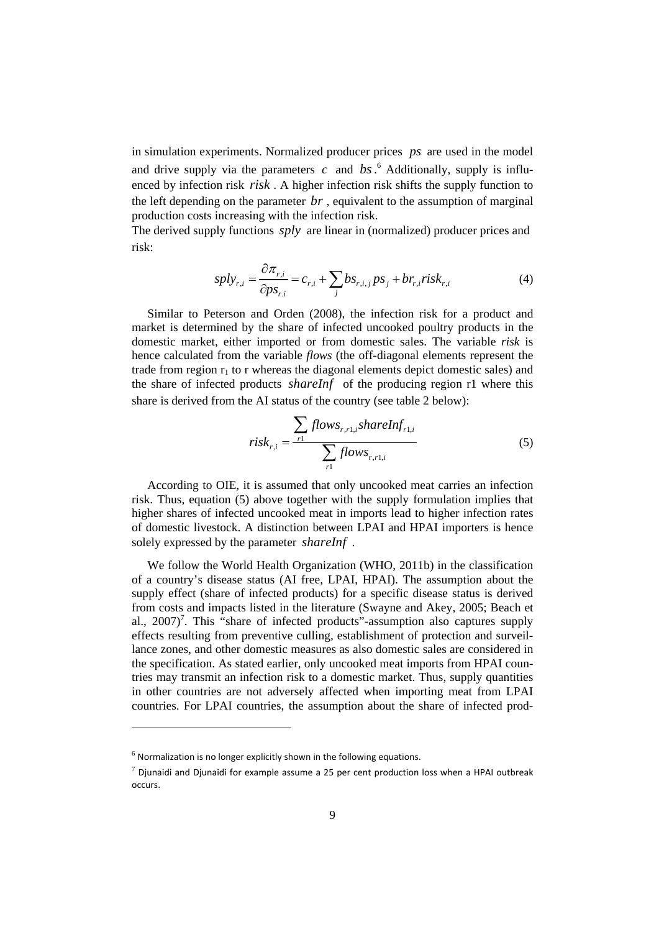in simulation experiments. Normalized producer prices *ps* are used in the model and drive supply via the parameters  $c$  and  $bs$ <sup>6</sup>. Additionally, supply is influenced by infection risk *risk* . A higher infection risk shifts the supply function to the left depending on the parameter  $br$ , equivalent to the assumption of marginal production costs increasing with the infection risk.

The derived supply functions *sply* are linear in (normalized) producer prices and risk:

$$
sply_{r,i} = \frac{\partial \pi_{r,i}}{\partial ps_{r,i}} = c_{r,i} + \sum_{j} bs_{r,i,j} ps_j + br_{r,i} risk_{r,i}
$$
(4)

Similar to Peterson and Orden (2008), the infection risk for a product and market is determined by the share of infected uncooked poultry products in the domestic market, either imported or from domestic sales. The variable *risk* is hence calculated from the variable *flows* (the off-diagonal elements represent the trade from region  $r_1$  to r whereas the diagonal elements depict domestic sales) and the share of infected products *shareInf* of the producing region r1 where this share is derived from the AI status of the country (see table 2 below):

$$
risk_{r,i} = \frac{\sum_{r1} flows_{r,r1,i} shareInf_{r1,i}}{\sum_{r1} flows_{r,r1,i}}
$$
 (5)

According to OIE, it is assumed that only uncooked meat carries an infection risk. Thus, equation (5) above together with the supply formulation implies that higher shares of infected uncooked meat in imports lead to higher infection rates of domestic livestock. A distinction between LPAI and HPAI importers is hence solely expressed by the parameter *shareInf* .

We follow the World Health Organization (WHO, 2011b) in the classification of a country's disease status (AI free, LPAI, HPAI). The assumption about the supply effect (share of infected products) for a specific disease status is derived from costs and impacts listed in the literature (Swayne and Akey, 2005; Beach et al.,  $2007$ <sup>7</sup>. This "share of infected products"-assumption also captures supply effects resulting from preventive culling, establishment of protection and surveillance zones, and other domestic measures as also domestic sales are considered in the specification. As stated earlier, only uncooked meat imports from HPAI countries may transmit an infection risk to a domestic market. Thus, supply quantities in other countries are not adversely affected when importing meat from LPAI countries. For LPAI countries, the assumption about the share of infected prod-

 $\overline{\phantom{a}}$ 

 $6$  Normalization is no longer explicitly shown in the following equations.

 $<sup>7</sup>$  Djunaidi and Djunaidi for example assume a 25 per cent production loss when a HPAI outbreak</sup> occurs.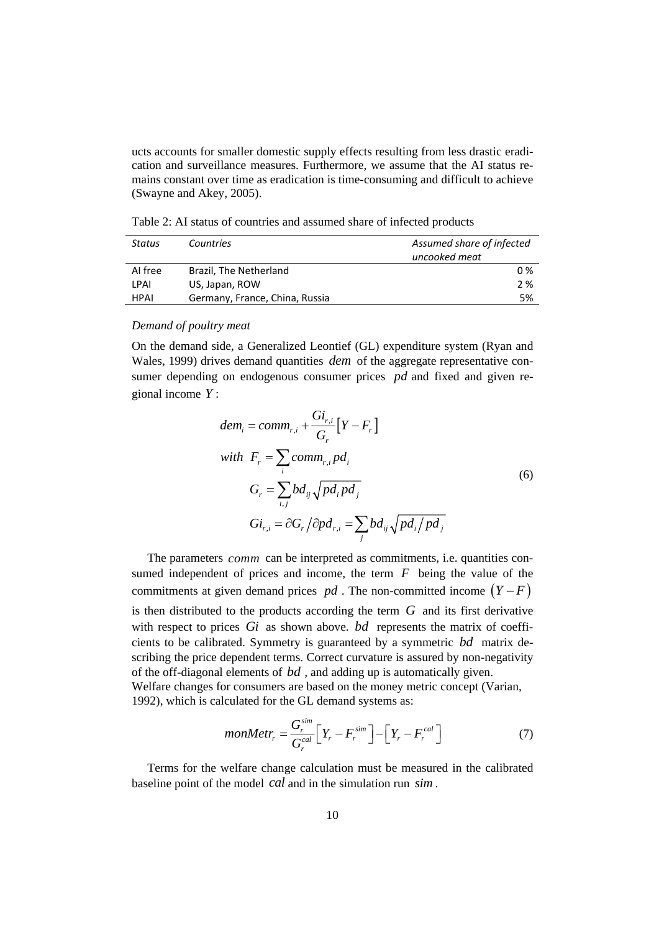ucts accounts for smaller domestic supply effects resulting from less drastic eradication and surveillance measures. Furthermore, we assume that the AI status remains constant over time as eradication is time-consuming and difficult to achieve (Swayne and Akey, 2005).

Table 2: AI status of countries and assumed share of infected products

| <b>Status</b> | Countries                      | Assumed share of infected |
|---------------|--------------------------------|---------------------------|
|               |                                | uncooked meat             |
| AI free       | Brazil, The Netherland         | 0 %                       |
| LPAI          | US, Japan, ROW                 | 2 %                       |
| <b>HPAI</b>   | Germany, France, China, Russia | 5%                        |

#### *Demand of poultry meat*

On the demand side, a Generalized Leontief (GL) expenditure system (Ryan and Wales, 1999) drives demand quantities *dem* of the aggregate representative consumer depending on endogenous consumer prices *pd* and fixed and given regional income *Y* :

$$
dem_i = comm_{r,i} + \frac{Gi_{r,i}}{G_r} [Y - F_r]
$$
  
\nwith  $F_r = \sum_i comm_{r,i} pd_i$   
\n
$$
G_r = \sum_{i,j} bd_{ij} \sqrt{pd_i pd_j}
$$
  
\n
$$
Gi_{r,i} = \partial G_r / \partial pd_{r,i} = \sum_j bd_{ij} \sqrt{pd_i / pd_j}
$$
\n(6)

The parameters *comm* can be interpreted as commitments, i.e. quantities consumed independent of prices and income, the term  $F$  being the value of the commitments at given demand prices *pd*. The non-committed income  $(Y - F)$ is then distributed to the products according the term *G* and its first derivative with respect to prices *Gi* as shown above. *bd* represents the matrix of coefficients to be calibrated. Symmetry is guaranteed by a symmetric *bd* matrix describing the price dependent terms. Correct curvature is assured by non-negativity of the off-diagonal elements of *bd ,* and adding up is automatically given. Welfare changes for consumers are based on the money metric concept (Varian,

1992), which is calculated for the GL demand systems as:

$$
monMetr_r = \frac{G_r^{sim}}{G_r^{cal}} \Big[ Y_r - F_r^{sim} \Big] - \Big[ Y_r - F_r^{cal} \Big] \tag{7}
$$

Terms for the welfare change calculation must be measured in the calibrated baseline point of the model *cal* and in the simulation run *sim* .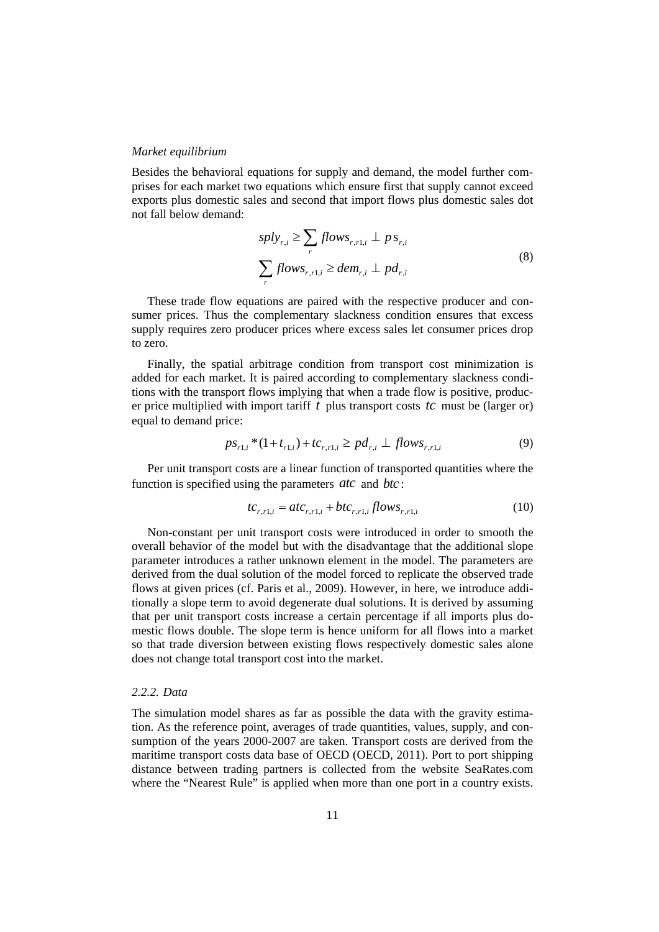#### *Market equilibrium*

Besides the behavioral equations for supply and demand, the model further comprises for each market two equations which ensure first that supply cannot exceed exports plus domestic sales and second that import flows plus domestic sales dot not fall below demand:

$$
sply_{r,i} \ge \sum_{r} flows_{r,r1,i} \perp ps_{r,i}
$$
  

$$
\sum_{r} flows_{r,r1,i} \ge dem_{r,i} \perp pd_{r,i}
$$
 (8)

These trade flow equations are paired with the respective producer and consumer prices. Thus the complementary slackness condition ensures that excess supply requires zero producer prices where excess sales let consumer prices drop to zero.

Finally, the spatial arbitrage condition from transport cost minimization is added for each market. It is paired according to complementary slackness conditions with the transport flows implying that when a trade flow is positive, producer price multiplied with import tariff *t* plus transport costs *tc* must be (larger or) equal to demand price:

$$
ps_{r1,i} * (1 + t_{r1,i}) + tc_{r,r1,i} \ge pd_{r,i} \perp flows_{r,r1,i}
$$
 (9)

Per unit transport costs are a linear function of transported quantities where the function is specified using the parameters *atc* and *btc* :

$$
tc_{r,r1,i} = atc_{r,r1,i} + btc_{r,r1,i} \, flows_{r,r1,i} \tag{10}
$$

Non-constant per unit transport costs were introduced in order to smooth the overall behavior of the model but with the disadvantage that the additional slope parameter introduces a rather unknown element in the model. The parameters are derived from the dual solution of the model forced to replicate the observed trade flows at given prices (cf. Paris et al., 2009). However, in here, we introduce additionally a slope term to avoid degenerate dual solutions. It is derived by assuming that per unit transport costs increase a certain percentage if all imports plus domestic flows double. The slope term is hence uniform for all flows into a market so that trade diversion between existing flows respectively domestic sales alone does not change total transport cost into the market.

#### *2.2.2. Data*

The simulation model shares as far as possible the data with the gravity estimation. As the reference point, averages of trade quantities, values, supply, and consumption of the years 2000-2007 are taken. Transport costs are derived from the maritime transport costs data base of OECD (OECD, 2011). Port to port shipping distance between trading partners is collected from the website SeaRates.com where the "Nearest Rule" is applied when more than one port in a country exists.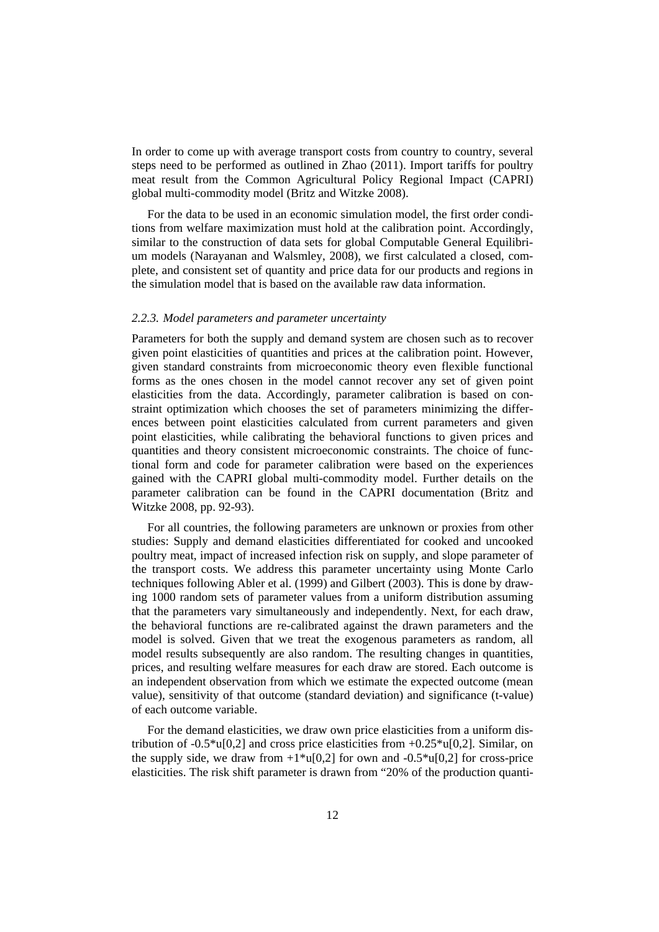In order to come up with average transport costs from country to country, several steps need to be performed as outlined in Zhao (2011). Import tariffs for poultry meat result from the Common Agricultural Policy Regional Impact (CAPRI) global multi-commodity model (Britz and Witzke 2008).

For the data to be used in an economic simulation model, the first order conditions from welfare maximization must hold at the calibration point. Accordingly, similar to the construction of data sets for global Computable General Equilibrium models (Narayanan and Walsmley, 2008), we first calculated a closed, complete, and consistent set of quantity and price data for our products and regions in the simulation model that is based on the available raw data information.

#### *2.2.3. Model parameters and parameter uncertainty*

Parameters for both the supply and demand system are chosen such as to recover given point elasticities of quantities and prices at the calibration point. However, given standard constraints from microeconomic theory even flexible functional forms as the ones chosen in the model cannot recover any set of given point elasticities from the data. Accordingly, parameter calibration is based on constraint optimization which chooses the set of parameters minimizing the differences between point elasticities calculated from current parameters and given point elasticities, while calibrating the behavioral functions to given prices and quantities and theory consistent microeconomic constraints. The choice of functional form and code for parameter calibration were based on the experiences gained with the CAPRI global multi-commodity model. Further details on the parameter calibration can be found in the CAPRI documentation (Britz and Witzke 2008, pp. 92-93).

For all countries, the following parameters are unknown or proxies from other studies: Supply and demand elasticities differentiated for cooked and uncooked poultry meat, impact of increased infection risk on supply, and slope parameter of the transport costs. We address this parameter uncertainty using Monte Carlo techniques following Abler et al. (1999) and Gilbert (2003). This is done by drawing 1000 random sets of parameter values from a uniform distribution assuming that the parameters vary simultaneously and independently. Next, for each draw, the behavioral functions are re-calibrated against the drawn parameters and the model is solved. Given that we treat the exogenous parameters as random, all model results subsequently are also random. The resulting changes in quantities, prices, and resulting welfare measures for each draw are stored. Each outcome is an independent observation from which we estimate the expected outcome (mean value), sensitivity of that outcome (standard deviation) and significance (t-value) of each outcome variable.

For the demand elasticities, we draw own price elasticities from a uniform distribution of  $-0.5^*$ u[0,2] and cross price elasticities from  $+0.25^*$ u[0,2]. Similar, on the supply side, we draw from  $+1^*u[0.2]$  for own and  $-0.5^*u[0.2]$  for cross-price elasticities. The risk shift parameter is drawn from "20% of the production quanti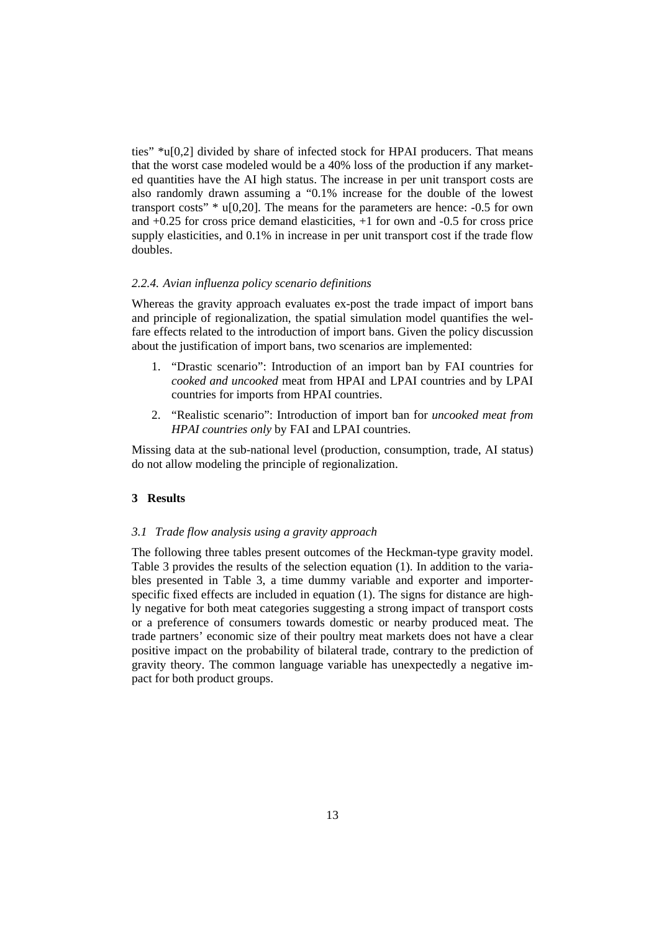ties" \*u[0,2] divided by share of infected stock for HPAI producers. That means that the worst case modeled would be a 40% loss of the production if any marketed quantities have the AI high status. The increase in per unit transport costs are also randomly drawn assuming a "0.1% increase for the double of the lowest transport costs"  $*$  u[0,20]. The means for the parameters are hence:  $-0.5$  for own and +0.25 for cross price demand elasticities, +1 for own and -0.5 for cross price supply elasticities, and 0.1% in increase in per unit transport cost if the trade flow doubles.

#### *2.2.4. Avian influenza policy scenario definitions*

Whereas the gravity approach evaluates ex-post the trade impact of import bans and principle of regionalization, the spatial simulation model quantifies the welfare effects related to the introduction of import bans. Given the policy discussion about the justification of import bans, two scenarios are implemented:

- 1. "Drastic scenario": Introduction of an import ban by FAI countries for *cooked and uncooked* meat from HPAI and LPAI countries and by LPAI countries for imports from HPAI countries.
- 2. "Realistic scenario": Introduction of import ban for *uncooked meat from HPAI countries only* by FAI and LPAI countries.

Missing data at the sub-national level (production, consumption, trade, AI status) do not allow modeling the principle of regionalization.

#### **3 Results**

#### *3.1 Trade flow analysis using a gravity approach*

The following three tables present outcomes of the Heckman-type gravity model. Table 3 provides the results of the selection equation (1). In addition to the variables presented in Table 3, a time dummy variable and exporter and importerspecific fixed effects are included in equation (1). The signs for distance are highly negative for both meat categories suggesting a strong impact of transport costs or a preference of consumers towards domestic or nearby produced meat. The trade partners' economic size of their poultry meat markets does not have a clear positive impact on the probability of bilateral trade, contrary to the prediction of gravity theory. The common language variable has unexpectedly a negative impact for both product groups.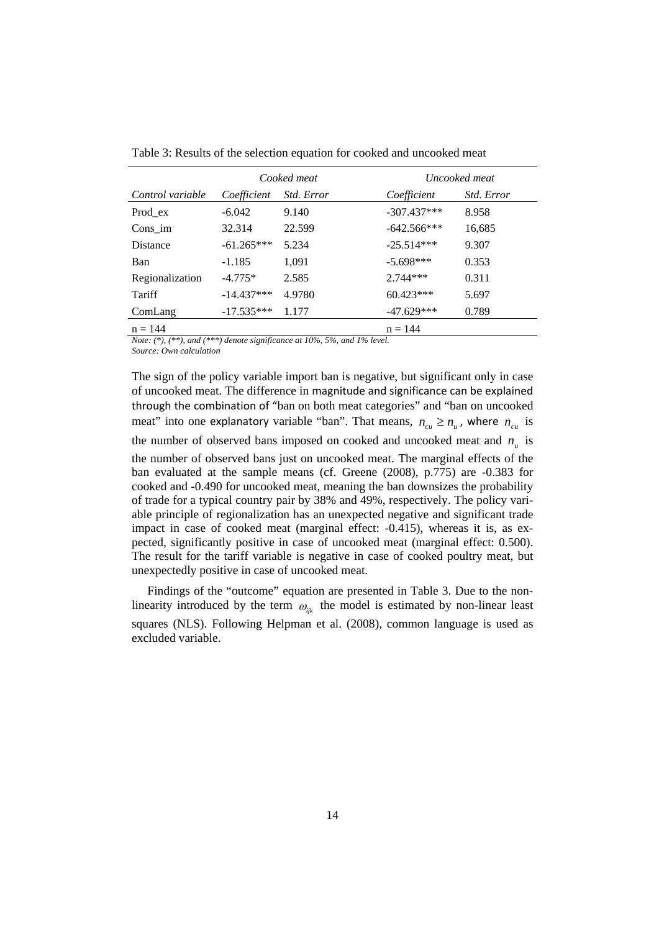|                  |              | Cooked meat       | Uncooked meat |                   |  |  |
|------------------|--------------|-------------------|---------------|-------------------|--|--|
| Control variable | Coefficient  | <i>Std. Error</i> | Coefficient   | <i>Std. Error</i> |  |  |
| Prod ex          | $-6.042$     | 9.140             | $-307.437***$ | 8.958             |  |  |
| Cons im          | 32.314       | 22.599            | $-642.566***$ | 16,685            |  |  |
| <b>Distance</b>  | $-61.265***$ | 5.234             | $-25.514***$  | 9.307             |  |  |
| Ban              | $-1.185$     | 1,091             | $-5.698***$   | 0.353             |  |  |
| Regionalization  | $-4.775*$    | 2.585             | $2.744***$    | 0.311             |  |  |
| Tariff           | $-14.437***$ | 4.9780            | 60.423***     | 5.697             |  |  |
| ComLang          | $-17.535***$ | 1.177             | $-47.629***$  | 0.789             |  |  |
| $n = 144$        |              |                   | $n = 144$     |                   |  |  |

Table 3: Results of the selection equation for cooked and uncooked meat

*Note: (\*), (\*\*), and (\*\*\*) denote significance at 10%, 5%, and 1% level.* 

*Source: Own calculation* 

The sign of the policy variable import ban is negative, but significant only in case of uncooked meat. The difference in magnitude and significance can be explained through the combination of "ban on both meat categories" and "ban on uncooked meat" into one explanatory variable "ban". That means,  $n_{cu} \ge n_u$ , where  $n_{cu}$  is the number of observed bans imposed on cooked and uncooked meat and  $n_{u}$  is the number of observed bans just on uncooked meat. The marginal effects of the ban evaluated at the sample means (cf. Greene (2008), p.775) are -0.383 for cooked and -0.490 for uncooked meat, meaning the ban downsizes the probability of trade for a typical country pair by 38% and 49%, respectively. The policy variable principle of regionalization has an unexpected negative and significant trade impact in case of cooked meat (marginal effect: -0.415), whereas it is, as expected, significantly positive in case of uncooked meat (marginal effect: 0.500). The result for the tariff variable is negative in case of cooked poultry meat, but unexpectedly positive in case of uncooked meat.

Findings of the "outcome" equation are presented in Table 3. Due to the nonlinearity introduced by the term  $\omega_{ijk}$  the model is estimated by non-linear least squares (NLS). Following Helpman et al. (2008), common language is used as excluded variable.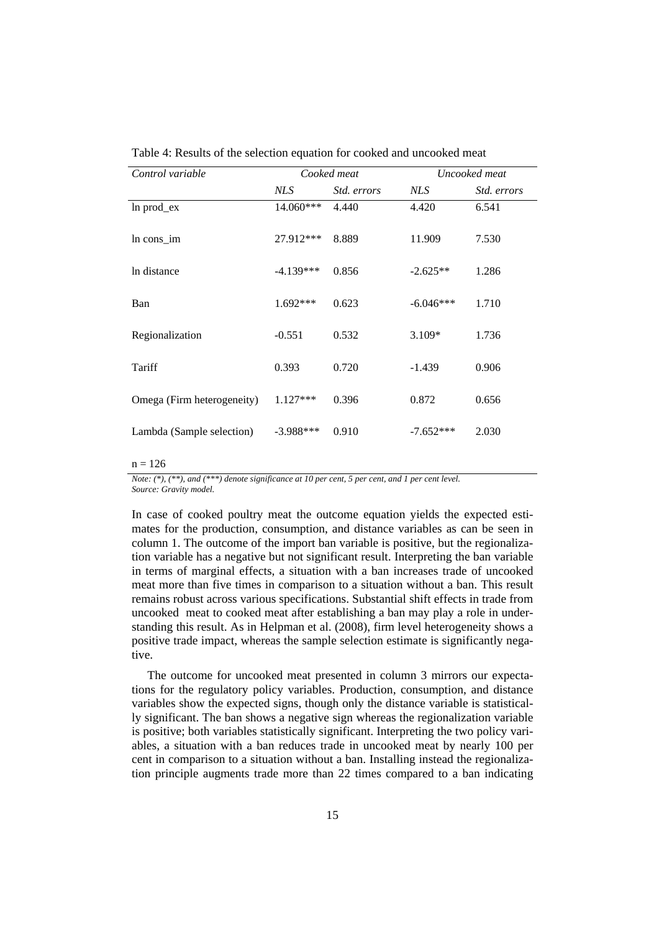| Control variable           |             | Cooked meat        |             | Uncooked meat      |
|----------------------------|-------------|--------------------|-------------|--------------------|
|                            | <b>NLS</b>  | <i>Std. errors</i> | <b>NLS</b>  | <i>Std. errors</i> |
| $ln$ prod_ex               | 14.060***   | 4.440              | 4.420       | 6.541              |
| $ln \mathrm{cons\_im}$     | 27.912***   | 8.889              | 11.909      | 7.530              |
| In distance                | $-4.139***$ | 0.856              | $-2.625**$  | 1.286              |
| Ban                        | $1.692***$  | 0.623              | $-6.046***$ | 1.710              |
| Regionalization            | $-0.551$    | 0.532              | $3.109*$    | 1.736              |
| Tariff                     | 0.393       | 0.720              | $-1.439$    | 0.906              |
| Omega (Firm heterogeneity) | $1.127***$  | 0.396              | 0.872       | 0.656              |
| Lambda (Sample selection)  | $-3.988***$ | 0.910              | $-7.652***$ | 2.030              |
|                            |             |                    |             |                    |

Table 4: Results of the selection equation for cooked and uncooked meat

#### $n = 126$

*Note: (\*), (\*\*), and (\*\*\*) denote significance at 10 per cent, 5 per cent, and 1 per cent level. Source: Gravity model.* 

In case of cooked poultry meat the outcome equation yields the expected estimates for the production, consumption, and distance variables as can be seen in column 1. The outcome of the import ban variable is positive, but the regionalization variable has a negative but not significant result. Interpreting the ban variable in terms of marginal effects, a situation with a ban increases trade of uncooked meat more than five times in comparison to a situation without a ban. This result remains robust across various specifications. Substantial shift effects in trade from uncooked meat to cooked meat after establishing a ban may play a role in understanding this result. As in Helpman et al. (2008), firm level heterogeneity shows a positive trade impact, whereas the sample selection estimate is significantly negative.

The outcome for uncooked meat presented in column 3 mirrors our expectations for the regulatory policy variables. Production, consumption, and distance variables show the expected signs, though only the distance variable is statistically significant. The ban shows a negative sign whereas the regionalization variable is positive; both variables statistically significant. Interpreting the two policy variables, a situation with a ban reduces trade in uncooked meat by nearly 100 per cent in comparison to a situation without a ban. Installing instead the regionalization principle augments trade more than 22 times compared to a ban indicating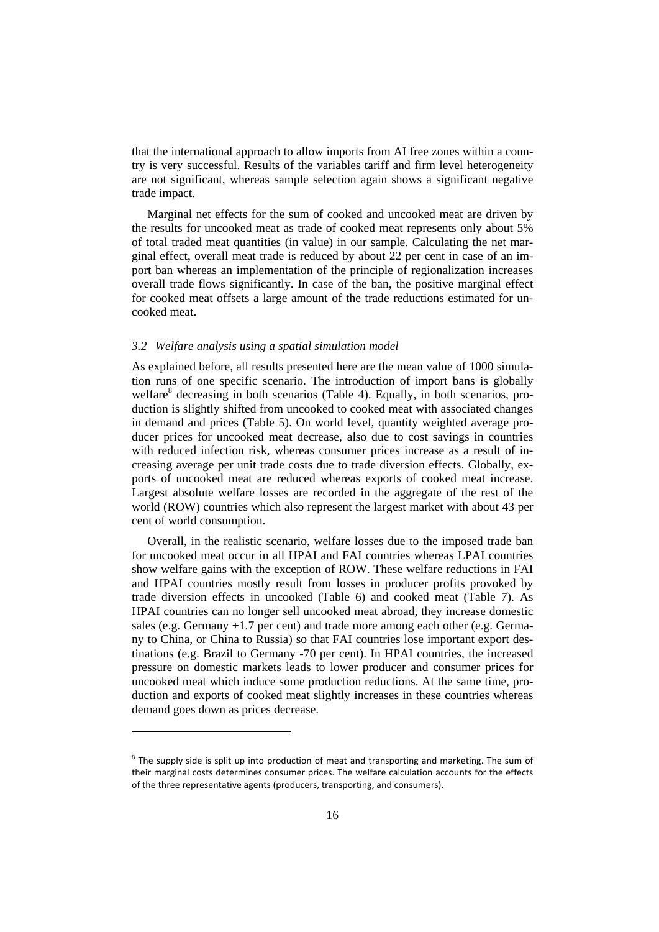that the international approach to allow imports from AI free zones within a country is very successful. Results of the variables tariff and firm level heterogeneity are not significant, whereas sample selection again shows a significant negative trade impact.

Marginal net effects for the sum of cooked and uncooked meat are driven by the results for uncooked meat as trade of cooked meat represents only about 5% of total traded meat quantities (in value) in our sample. Calculating the net marginal effect, overall meat trade is reduced by about 22 per cent in case of an import ban whereas an implementation of the principle of regionalization increases overall trade flows significantly. In case of the ban, the positive marginal effect for cooked meat offsets a large amount of the trade reductions estimated for uncooked meat.

#### *3.2 Welfare analysis using a spatial simulation model*

As explained before, all results presented here are the mean value of 1000 simulation runs of one specific scenario. The introduction of import bans is globally welfare<sup>8</sup> decreasing in both scenarios (Table 4). Equally, in both scenarios, production is slightly shifted from uncooked to cooked meat with associated changes in demand and prices (Table 5). On world level, quantity weighted average producer prices for uncooked meat decrease, also due to cost savings in countries with reduced infection risk, whereas consumer prices increase as a result of increasing average per unit trade costs due to trade diversion effects. Globally, exports of uncooked meat are reduced whereas exports of cooked meat increase. Largest absolute welfare losses are recorded in the aggregate of the rest of the world (ROW) countries which also represent the largest market with about 43 per cent of world consumption.

Overall, in the realistic scenario, welfare losses due to the imposed trade ban for uncooked meat occur in all HPAI and FAI countries whereas LPAI countries show welfare gains with the exception of ROW. These welfare reductions in FAI and HPAI countries mostly result from losses in producer profits provoked by trade diversion effects in uncooked (Table 6) and cooked meat (Table 7). As HPAI countries can no longer sell uncooked meat abroad, they increase domestic sales (e.g. Germany +1.7 per cent) and trade more among each other (e.g. Germany to China, or China to Russia) so that FAI countries lose important export destinations (e.g. Brazil to Germany -70 per cent). In HPAI countries, the increased pressure on domestic markets leads to lower producer and consumer prices for uncooked meat which induce some production reductions. At the same time, production and exports of cooked meat slightly increases in these countries whereas demand goes down as prices decrease.

 $\overline{\phantom{a}}$ 

 $8$  The supply side is split up into production of meat and transporting and marketing. The sum of their marginal costs determines consumer prices. The welfare calculation accounts for the effects of the three representative agents (producers, transporting, and consumers).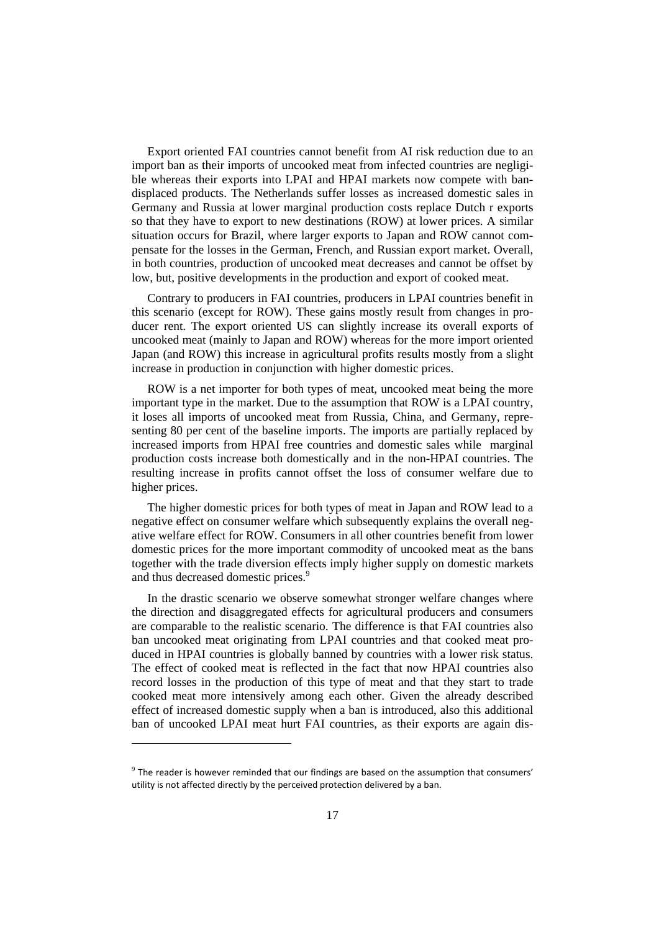Export oriented FAI countries cannot benefit from AI risk reduction due to an import ban as their imports of uncooked meat from infected countries are negligible whereas their exports into LPAI and HPAI markets now compete with bandisplaced products. The Netherlands suffer losses as increased domestic sales in Germany and Russia at lower marginal production costs replace Dutch r exports so that they have to export to new destinations (ROW) at lower prices. A similar situation occurs for Brazil, where larger exports to Japan and ROW cannot compensate for the losses in the German, French, and Russian export market. Overall, in both countries, production of uncooked meat decreases and cannot be offset by low, but, positive developments in the production and export of cooked meat.

Contrary to producers in FAI countries, producers in LPAI countries benefit in this scenario (except for ROW). These gains mostly result from changes in producer rent. The export oriented US can slightly increase its overall exports of uncooked meat (mainly to Japan and ROW) whereas for the more import oriented Japan (and ROW) this increase in agricultural profits results mostly from a slight increase in production in conjunction with higher domestic prices.

ROW is a net importer for both types of meat, uncooked meat being the more important type in the market. Due to the assumption that ROW is a LPAI country, it loses all imports of uncooked meat from Russia, China, and Germany, representing 80 per cent of the baseline imports. The imports are partially replaced by increased imports from HPAI free countries and domestic sales while marginal production costs increase both domestically and in the non-HPAI countries. The resulting increase in profits cannot offset the loss of consumer welfare due to higher prices.

The higher domestic prices for both types of meat in Japan and ROW lead to a negative effect on consumer welfare which subsequently explains the overall negative welfare effect for ROW. Consumers in all other countries benefit from lower domestic prices for the more important commodity of uncooked meat as the bans together with the trade diversion effects imply higher supply on domestic markets and thus decreased domestic prices.<sup>9</sup>

In the drastic scenario we observe somewhat stronger welfare changes where the direction and disaggregated effects for agricultural producers and consumers are comparable to the realistic scenario. The difference is that FAI countries also ban uncooked meat originating from LPAI countries and that cooked meat produced in HPAI countries is globally banned by countries with a lower risk status. The effect of cooked meat is reflected in the fact that now HPAI countries also record losses in the production of this type of meat and that they start to trade cooked meat more intensively among each other. Given the already described effect of increased domestic supply when a ban is introduced, also this additional ban of uncooked LPAI meat hurt FAI countries, as their exports are again dis-

l

 $9$  The reader is however reminded that our findings are based on the assumption that consumers' utility is not affected directly by the perceived protection delivered by a ban.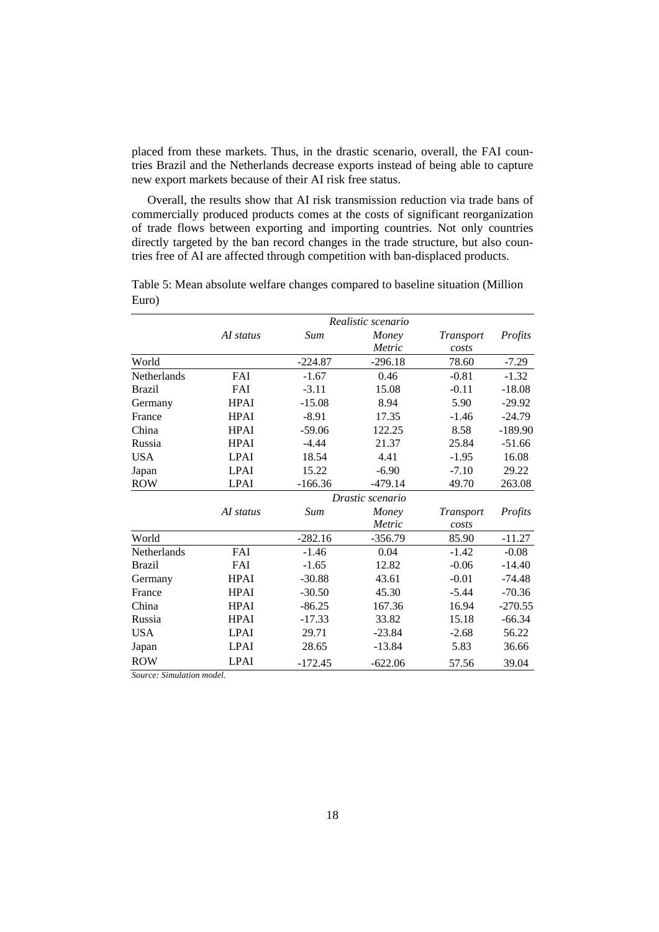placed from these markets. Thus, in the drastic scenario, overall, the FAI countries Brazil and the Netherlands decrease exports instead of being able to capture new export markets because of their AI risk free status.

Overall, the results show that AI risk transmission reduction via trade bans of commercially produced products comes at the costs of significant reorganization of trade flows between exporting and importing countries. Not only countries directly targeted by the ban record changes in the trade structure, but also countries free of AI are affected through competition with ban-displaced products.

|                    |                  |           | Realistic scenario |                           |           |  |  |  |  |  |
|--------------------|------------------|-----------|--------------------|---------------------------|-----------|--|--|--|--|--|
|                    | AI status        | Sum       | Money<br>Metric    | <b>Transport</b><br>costs | Profits   |  |  |  |  |  |
| World              |                  | $-224.87$ | $-296.18$          | 78.60                     | $-7.29$   |  |  |  |  |  |
| <b>Netherlands</b> | <b>FAI</b>       | $-1.67$   | 0.46               | $-0.81$                   | $-1.32$   |  |  |  |  |  |
| <b>Brazil</b>      | FAI              | $-3.11$   | 15.08              | $-0.11$                   | $-18.08$  |  |  |  |  |  |
| Germany            | <b>HPAI</b>      | $-15.08$  | 8.94               | 5.90                      | $-29.92$  |  |  |  |  |  |
| France             | <b>HPAI</b>      | $-8.91$   | 17.35              | $-1.46$                   | $-24.79$  |  |  |  |  |  |
| China              | <b>HPAI</b>      | $-59.06$  | 122.25             | 8.58                      | $-189.90$ |  |  |  |  |  |
| Russia             | <b>HPAI</b>      | $-4.44$   | 21.37              | 25.84                     | $-51.66$  |  |  |  |  |  |
| <b>USA</b>         | <b>LPAI</b>      | 18.54     | 4.41               | $-1.95$                   | 16.08     |  |  |  |  |  |
| Japan              | <b>LPAI</b>      | 15.22     | $-6.90$            | $-7.10$                   | 29.22     |  |  |  |  |  |
| <b>ROW</b>         | LPAI             | $-166.36$ | $-479.14$          | 49.70                     | 263.08    |  |  |  |  |  |
|                    | Drastic scenario |           |                    |                           |           |  |  |  |  |  |
|                    | AI status        | Sum       | Money              | Transport                 | Profits   |  |  |  |  |  |
|                    |                  |           | Metric             | costs                     |           |  |  |  |  |  |
| World              |                  | $-282.16$ | $-356.79$          | 85.90                     | $-11.27$  |  |  |  |  |  |
| Netherlands        | <b>FAI</b>       | $-1.46$   | 0.04               | $-1.42$                   | $-0.08$   |  |  |  |  |  |
| <b>Brazil</b>      | <b>FAI</b>       | $-1.65$   | 12.82              | $-0.06$                   | $-14.40$  |  |  |  |  |  |
| Germany            | <b>HPAI</b>      | $-30.88$  | 43.61              | $-0.01$                   | $-74.48$  |  |  |  |  |  |
| France             | <b>HPAI</b>      | $-30.50$  | 45.30              | $-5.44$                   | $-70.36$  |  |  |  |  |  |
| China              | <b>HPAI</b>      | $-86.25$  | 167.36             | 16.94                     | $-270.55$ |  |  |  |  |  |
| Russia             | <b>HPAI</b>      | $-17.33$  | 33.82              | 15.18                     | $-66.34$  |  |  |  |  |  |
| <b>USA</b>         | <b>LPAI</b>      | 29.71     | $-23.84$           | $-2.68$                   | 56.22     |  |  |  |  |  |
| Japan              | <b>LPAI</b>      | 28.65     | -13.84             | 5.83                      | 36.66     |  |  |  |  |  |
| <b>ROW</b>         | <b>LPAI</b>      | $-172.45$ | $-622.06$          | 57.56                     | 39.04     |  |  |  |  |  |

Table 5: Mean absolute welfare changes compared to baseline situation (Million Euro)

*Source: Simulation model.*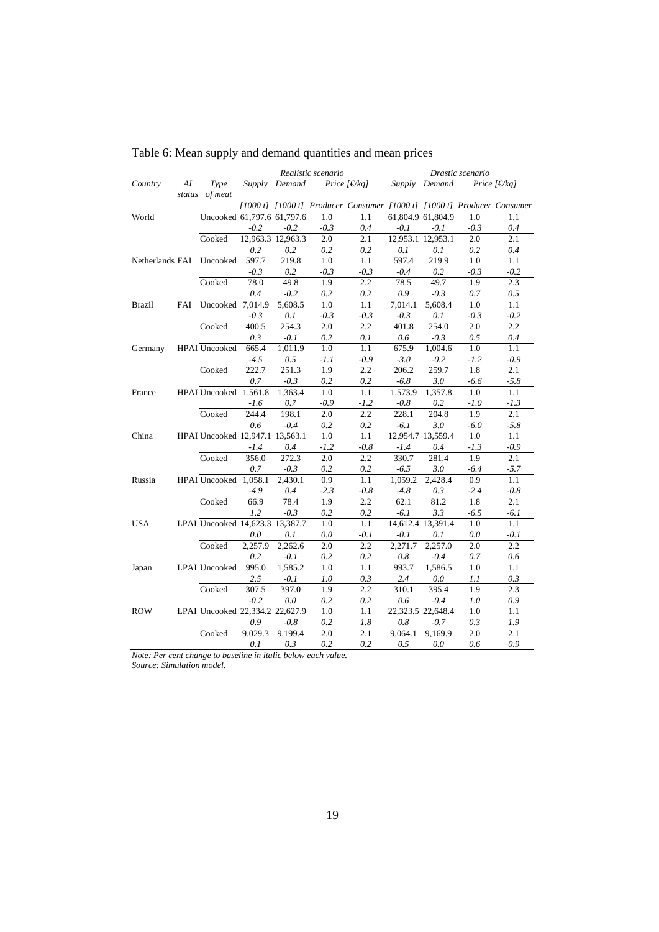|                 |     |                                 |              |                   | Realistic scenario |                                   |                   |                   | Drastic scenario |                                                                |
|-----------------|-----|---------------------------------|--------------|-------------------|--------------------|-----------------------------------|-------------------|-------------------|------------------|----------------------------------------------------------------|
| Country         | AI  | Type                            |              | Supply Demand     |                    | Price $\lceil \epsilon/kg \rceil$ |                   | Supply Demand     |                  | Price $\lceil \epsilon/kg \rceil$                              |
|                 |     | status of meat                  |              |                   |                    |                                   |                   |                   |                  |                                                                |
|                 |     |                                 | [1000 t]     |                   |                    |                                   |                   |                   |                  | [1000 t] Producer Consumer [1000 t] [1000 t] Producer Consumer |
| World           |     | Uncooked 61,797.6 61,797.6      |              |                   | 1.0                | 1.1                               |                   | 61,804.9 61,804.9 | 1.0              | 1.1                                                            |
|                 |     |                                 | $-0.2$       | $-0.2$            | $-0.3$             | 0.4                               | $-0.1$            | $-0.1$            | $-0.3$           | 0.4                                                            |
|                 |     | Cooked                          |              | 12,963.3 12,963.3 | 2.0                | 2.1                               |                   | 12,953.1 12,953.1 | 2.0              | 2.1                                                            |
|                 |     |                                 | 0.2          | 0.2               | 0.2                | 0.2                               | 0.1               | 0.1               | 0.2              | 0.4                                                            |
| Netherlands FAI |     | Uncooked                        | 597.7        | 219.8             | 1.0                | 1.1                               | 597.4             | 219.9             | 1.0              | 1.1                                                            |
|                 |     |                                 | $-0.3$       | 0.2               | $-0.3$             | $-0.3$                            | $-0.4$            | 0.2               | $-0.3$           | $-0.2$                                                         |
|                 |     | Cooked                          | 78.0         | 49.8              | 1.9                | 2.2                               | 78.5              | 49.7              | 1.9              | 2.3                                                            |
|                 |     |                                 | 0.4          | $-0.2$            | 0.2                | 0.2                               | 0.9               | $-0.3$            | 0.7              | 0.5                                                            |
| <b>Brazil</b>   | FAI | Uncooked 7,014.9                |              | 5,608.5           | 1.0                | 1.1                               | 7,014.1           | 5,608.4           | 1.0              | 1.1                                                            |
|                 |     |                                 | $-0.3$       | 0.1               | $-0.3$             | $-0.3$                            | $-0.3$            | 0.1               | $-0.3$           | $-0.2$                                                         |
|                 |     | Cooked                          | 400.5        | 254.3             | 2.0                | 2.2                               | 401.8             | 254.0             | 2.0              | 2.2                                                            |
|                 |     |                                 | 0.3          | $-0.1$            | 0.2                | 0.1                               | 0.6               | $-0.3$            | 0.5              | 0.4                                                            |
| Germany         |     | <b>HPAI Uncooked</b>            | 665.4        | 1,011.9           | 1.0                | 1.1                               | 675.9             | 1,004.6           | 1.0              | 1.1                                                            |
|                 |     |                                 | -4.5         | 0.5               | -1.1               | $-0.9$                            | $-3.0$            | $-0.2$            | -1.2             | $-0.9$                                                         |
|                 |     | Cooked                          | 222.7        | 251.3             | 1.9                | 2.2                               | 206.2             | 259.7             | 1.8              | 2.1                                                            |
|                 |     |                                 | 0.7          | $-0.3$            | 0.2                | 0.2                               | $-6.8$            | 3.0               | $-6.6$           | $-5.8$                                                         |
| France          |     | HPAI Uncooked 1,561.8           |              | 1,363.4           | 1.0                | 1.1                               | 1,573.9           | 1,357.8           | 1.0              | 1.1                                                            |
|                 |     |                                 | -1.6         | 0.7               | $-0.9$             | $-1.2$                            | $-0.8$            | 0.2               | $-1.0$           | $-1.3$                                                         |
|                 |     | Cooked                          | 244.4        | 198.1             | 2.0                | 2.2                               | 228.1             | 204.8             | 1.9              | 2.1                                                            |
|                 |     |                                 | 0.6          | $-0.4$            | 0.2                | 0.2                               | $-6.1$            | 3.0               | $-6.0$           | $-5.8$                                                         |
| China           |     | HPAI Uncooked 12,947.1 13,563.1 |              |                   | 1.0                | 1.1                               |                   | 12,954.7 13,559.4 | 1.0              | 1.1                                                            |
|                 |     |                                 | $-1.4$       | 0.4               | -1.2               | $-0.8$                            | $-1.4$            | 0.4               | -1.3             | $-0.9$                                                         |
|                 |     | Cooked                          | 356.0        | 272.3             | 2.0                | 2.2                               | 330.7             | 281.4             | 1.9              | 2.1                                                            |
|                 |     |                                 | 0.7          | $-0.3$            | 0.2                | 0.2                               | $-6.5$            | 3.0               | $-6.4$           | $-5.7$                                                         |
| Russia          |     | HPAI Uncooked 1,058.1           |              | 2,430.1           | 0.9                | 1.1                               | 1,059.2           | 2,428.4           | 0.9              | 1.1                                                            |
|                 |     |                                 | -4.9         | 0.4               | $-2.3$             | $-0.8$                            | $-4.8$            | 0.3               | $-2.4$           | $-0.8$                                                         |
|                 |     | Cooked                          | 66.9         | 78.4              | 1.9                | 2.2                               | 62.1              | 81.2              | 1.8              | 2.1                                                            |
|                 |     |                                 | 1.2          | $-0.3$            | 0.2                | 0.2                               | $-6.1$            | 3.3               | $-6.5$           | -6.1                                                           |
| <b>USA</b>      |     | LPAI Uncooked 14,623.3 13,387.7 |              |                   | 1.0                | 1.1                               |                   | 14,612.4 13,391.4 | 1.0              | 1.1                                                            |
|                 |     | Cooked                          | 0.0          | 0.1<br>2,262.6    | 0.0                | $-0.1$<br>2.2                     | $-0.1$<br>2,271.7 | 0.1<br>2,257.0    | 0.0              | $-0.1$<br>2.2                                                  |
|                 |     |                                 | 2,257.9      |                   | 2.0                |                                   |                   |                   | 2.0              |                                                                |
|                 |     | LPAI Uncooked                   | 0.2<br>995.0 | $-0.1$<br>1,585.2 | 0.2<br>1.0         | 0.2<br>1.1                        | 0.8<br>993.7      | $-0.4$<br>1,586.5 | 0.7<br>1.0       | 0.6<br>1.1                                                     |
| Japan           |     |                                 | 2.5          |                   |                    |                                   | 2.4               |                   |                  |                                                                |
|                 |     | Cooked                          | 307.5        | $-0.1$<br>397.0   | 1.0<br>1.9         | 0.3<br>2.2                        | 310.1             | 0.0<br>395.4      | 1.1<br>1.9       | 0.3<br>2.3                                                     |
|                 |     |                                 | $-0.2$       | 0.0               | 0.2                | 0.2                               | 0.6               | $-0.4$            | 1.0              | 0.9                                                            |
| <b>ROW</b>      |     | LPAI Uncooked 22,334.2 22,627.9 |              |                   | 1.0                | 1.1                               |                   | 22,323.5 22,648.4 | 1.0              | 1.1                                                            |
|                 |     |                                 | 0.9          | $-0.8$            | 0.2                | 1.8                               | 0.8               | $-0.7$            | 0.3              | 1.9                                                            |
|                 |     | Cooked                          | 9,029.3      | 9,199.4           | 2.0                | 2.1                               | 9,064.1           | 9,169.9           | 2.0              | 2.1                                                            |
|                 |     |                                 | 0.1          | 0.3               | 0.2                | 0.2                               | 0.5               | 0.0               | 0.6              | 0.9                                                            |
|                 |     |                                 |              |                   |                    |                                   |                   |                   |                  |                                                                |

Table 6: Mean supply and demand quantities and mean prices

*Note: Per cent change to baseline in italic below each value.* 

*Source: Simulation model.*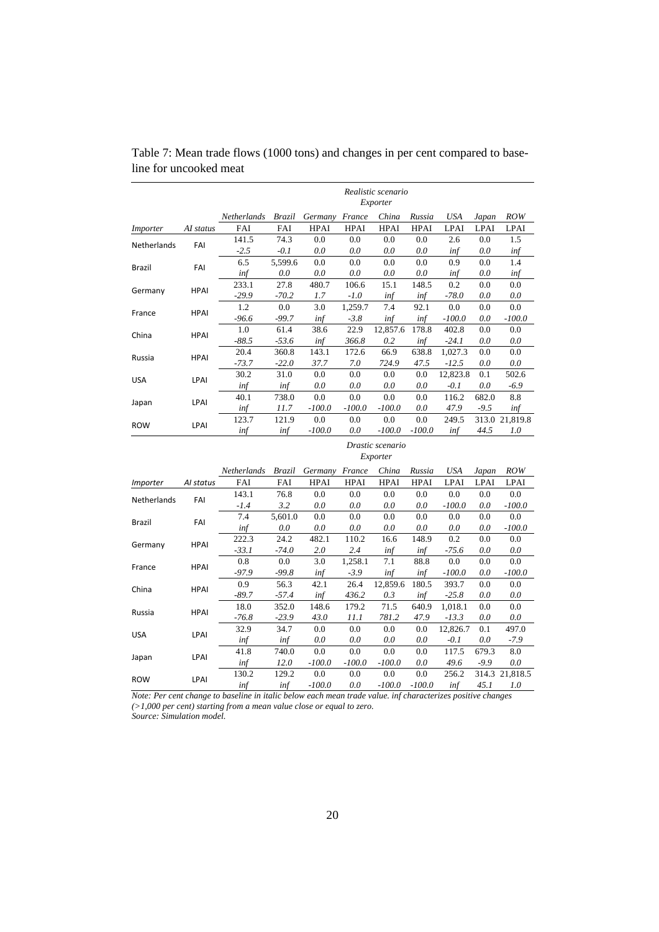|             |             |             | Realistic scenario<br>Exporter |             |          |             |             |          |             |             |  |
|-------------|-------------|-------------|--------------------------------|-------------|----------|-------------|-------------|----------|-------------|-------------|--|
|             |             | Netherlands | Brazil                         | Germany     | France   | China       | Russia      | USA      | Japan       | <b>ROW</b>  |  |
| Importer    | AI status   | FAI         | <b>FAI</b>                     | <b>HPAI</b> | HPAI     | <b>HPAI</b> | <b>HPAI</b> | LPAI     | <b>LPAI</b> | <b>LPAI</b> |  |
| Netherlands | FAI         | 141.5       | 74.3                           | 0.0         | 0.0      | 0.0         | 0.0         | 2.6      | 0.0         | 1.5         |  |
|             |             | $-2.5$      | $-0.1$                         | 0.0         | 0.0      | 0.0         | 0.0         | inf      | 0.0         | inf         |  |
| Brazil      | FAI         | 6.5         | 5,599.6                        | 0.0         | 0.0      | 0.0         | 0.0         | 0.9      | 0.0         | 1.4         |  |
|             |             | inf         | 0.0                            | 0.0         | 0.0      | 0.0         | 0.0         | inf      | 0.0         | inf         |  |
| Germany     | <b>HPAI</b> | 233.1       | 27.8                           | 480.7       | 106.6    | 15.1        | 148.5       | 0.2      | 0.0         | 0.0         |  |
|             |             | $-29.9$     | $-70.2$                        | 1.7         | $-1.0$   | inf         | inf         | $-78.0$  | 0.0         | 0.0         |  |
| France      | HPAI        | 1.2         | 0.0                            | 3.0         | 1,259.7  | 7.4         | 92.1        | 0.0      | 0.0         | 0.0         |  |
|             |             | $-96.6$     | $-99.7$                        | inf         | $-3.8$   | inf         | inf         | $-100.0$ | 0.0         | $-100.0$    |  |
| China       | <b>HPAI</b> | 1.0         | 61.4                           | 38.6        | 22.9     | 12,857.6    | 178.8       | 402.8    | 0.0         | 0.0         |  |
|             |             | $-88.5$     | $-53.6$                        | inf         | 366.8    | 0.2         | inf         | $-24.1$  | 0.0         | 0.0         |  |
| Russia      | <b>HPAI</b> | 20.4        | 360.8                          | 143.1       | 172.6    | 66.9        | 638.8       | 1,027.3  | 0.0         | 0.0         |  |
|             |             | $-73.7$     | $-22.0$                        | 37.7        | 7.0      | 724.9       | 47.5        | $-12.5$  | 0.0         | 0.0         |  |
| <b>USA</b>  | LPAI        | 30.2        | 31.0                           | 0.0         | 0.0      | 0.0         | 0.0         | 12,823.8 | 0.1         | 502.6       |  |
|             |             | inf         | inf                            | 0.0         | 0.0      | 0.0         | 0.0         | $-0.1$   | 0.0         | $-6.9$      |  |
|             |             | 40.1        | 738.0                          | 0.0         | 0.0      | 0.0         | 0.0         | 116.2    | 682.0       | 8.8         |  |
| Japan       | LPAI        | inf         | 11.7                           | $-100.0$    | $-100.0$ | $-100.0$    | 0.0         | 47.9     | $-9.5$      | inf         |  |
|             |             | 123.7       | 121.9                          | 0.0         | 0.0      | 0.0         | 0.0         | 249.5    | 313.0       | 21,819.8    |  |
| <b>ROW</b>  | LPAI        | inf         | inf                            | $-100.0$    | 0.0      | $-100.0$    | $-100.0$    | inf      | 44.5        | 1.0         |  |

Table 7: Mean trade flows (1000 tons) and changes in per cent compared to baseline for uncooked meat

#### *Drastic scenario Exporter*

|                 |             | <b>Netherlands</b> | Brazil     | Germany  | France      | China       | Russia      | USA         | Japan  | <b>ROW</b> |
|-----------------|-------------|--------------------|------------|----------|-------------|-------------|-------------|-------------|--------|------------|
| <i>Importer</i> | Al status   | FAI                | <b>FAI</b> | HPAI     | <b>HPAI</b> | <b>HPAI</b> | <b>HPAI</b> | <b>LPAI</b> | LPAI   | LPAI       |
|                 |             | 143.1              | 76.8       | 0.0      | 0.0         | 0.0         | 0.0         | 0.0         | 0.0    | 0.0        |
| Netherlands     | FAI         | $-1.4$             | 3.2        | 0.0      | 0.0         | 0.0         | 0.0         | $-100.0$    | 0.0    | $-100.0$   |
| Brazil          | FAI         | 7.4                | 5,601.0    | 0.0      | 0.0         | 0.0         | 0.0         | 0.0         | 0.0    | 0.0        |
|                 |             | inf                | 0.0        | 0.0      | 0.0         | 0.0         | 0.0         | 0.0         | 0.0    | $-100.0$   |
| Germany         | <b>HPAI</b> | 222.3              | 24.2       | 482.1    | 110.2       | 16.6        | 148.9       | 0.2         | 0.0    | $0.0\,$    |
|                 |             | $-33.1$            | $-74.0$    | 2.0      | 2.4         | inf         | inf         | $-75.6$     | 0.0    | 0.0        |
| France          | <b>HPAI</b> | 0.8                | 0.0        | 3.0      | 1,258.1     | 7.1         | 88.8        | 0.0         | 0.0    | 0.0        |
|                 |             | $-97.9$            | $-99.8$    | inf      | $-3.9$      | inf         | inf         | $-100.0$    | 0.0    | $-100.0$   |
| China           | <b>HPAI</b> | 0.9                | 56.3       | 42.1     | 26.4        | 12,859.6    | 180.5       | 393.7       | 0.0    | $0.0\,$    |
|                 |             | $-89.7$            | $-57.4$    | inf      | 436.2       | 0.3         | inf         | $-25.8$     | 0.0    | 0.0        |
|                 | <b>HPAI</b> | 18.0               | 352.0      | 148.6    | 179.2       | 71.5        | 640.9       | 1,018.1     | 0.0    | 0.0        |
| Russia          |             | $-76.8$            | $-23.9$    | 43.0     | 11.1        | 781.2       | 47.9        | $-13.3$     | 0.0    | 0.0        |
| <b>USA</b>      | LPAI        | 32.9               | 34.7       | 0.0      | 0.0         | 0.0         | 0.0         | 12,826.7    | 0.1    | 497.0      |
|                 |             | inf                | inf        | 0.0      | 0.0         | 0.0         | 0.0         | $-0.1$      | 0.0    | $-7.9$     |
|                 | LPAI        | 41.8               | 740.0      | 0.0      | 0.0         | 0.0         | 0.0         | 117.5       | 679.3  | 8.0        |
| Japan           |             | inf                | 12.0       | $-100.0$ | $-100.0$    | $-100.0$    | 0.0         | 49.6        | $-9.9$ | 0.0        |
|                 |             | 130.2              | 129.2      | 0.0      | 0.0         | 0.0         | 0.0         | 256.2       | 314.3  | 21,818.5   |
| <b>ROW</b>      | LPAI        | inf                | inf        | $-100.0$ | 0.0         | $-100.0$    | $-100.0$    | inf         | 45.1   | 1.0        |

*Note: Per cent change to baseline in italic below each mean trade value. inf characterizes positive changes (>1,000 per cent) starting from a mean value close or equal to zero. Source: Simulation model.*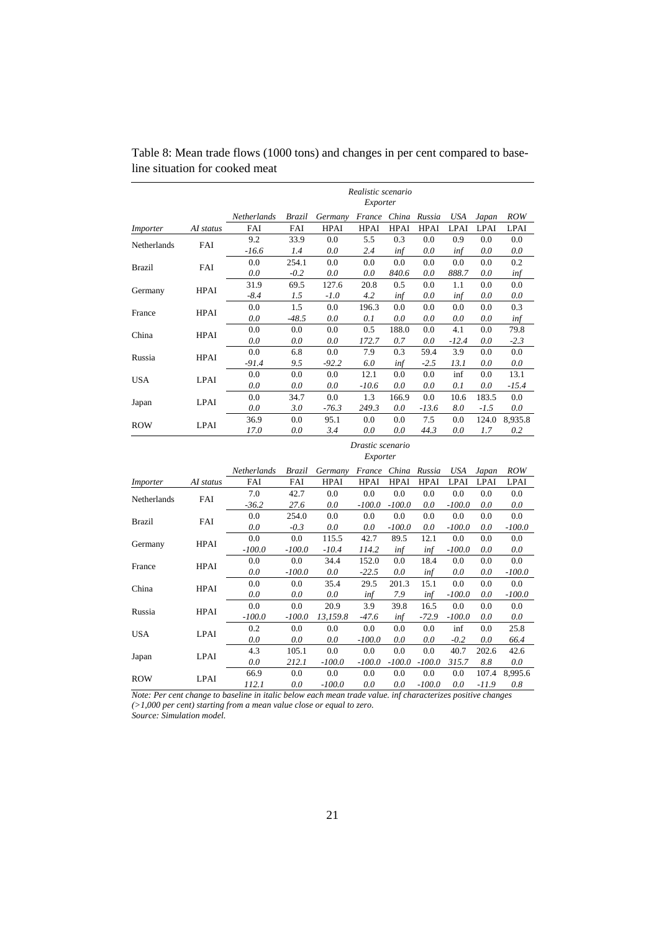|               |             |                    | Realistic scenario<br>Exporter |             |             |             |             |             |        |             |  |
|---------------|-------------|--------------------|--------------------------------|-------------|-------------|-------------|-------------|-------------|--------|-------------|--|
|               |             | <i>Netherlands</i> | Brazil                         | Germany     | France      | China       | Russia      | USA         | Japan  | <b>ROW</b>  |  |
| Importer      | AI status   | FAI                | FAI                            | <b>HPAI</b> | <b>HPAI</b> | <b>HPAI</b> | <b>HPAI</b> | <b>LPAI</b> | LPAI   | <b>LPAI</b> |  |
| Netherlands   | FAI         | 9.2                | 33.9                           | 0.0         | 5.5         | 0.3         | 0.0         | 0.9         | 0.0    | 0.0         |  |
|               |             | $-16.6$            | 1.4                            | 0.0         | 2.4         | inf         | 0.0         | inf         | 0.0    | 0.0         |  |
| <b>Brazil</b> | FAI         | 0.0                | 254.1                          | 0.0         | 0.0         | 0.0         | 0.0         | 0.0         | 0.0    | 0.2         |  |
|               |             | 0.0                | $-0.2$                         | 0.0         | 0.0         | 840.6       | 0.0         | 888.7       | 0.0    | inf         |  |
| Germany       | <b>HPAI</b> | 31.9               | 69.5                           | 127.6       | 20.8        | 0.5         | 0.0         | 1.1         | 0.0    | 0.0         |  |
|               |             | $-8.4$             | 1.5                            | $-1.0$      | 4.2         | inf         | 0.0         | inf         | 0.0    | 0.0         |  |
| France        | <b>HPAI</b> | 0.0                | 1.5                            | 0.0         | 196.3       | 0.0         | 0.0         | 0.0         | 0.0    | 0.3         |  |
|               |             | 0.0                | $-48.5$                        | 0.0         | 0.1         | 0.0         | 0.0         | 0.0         | 0.0    | inf         |  |
| China         | <b>HPAI</b> | 0.0                | 0.0                            | 0.0         | 0.5         | 188.0       | 0.0         | 4.1         | 0.0    | 79.8        |  |
|               |             | 0.0                | 0.0                            | 0.0         | 172.7       | 0.7         | 0.0         | $-12.4$     | 0.0    | $-2.3$      |  |
| Russia        | <b>HPAI</b> | 0.0                | 6.8                            | 0.0         | 7.9         | 0.3         | 59.4        | 3.9         | 0.0    | 0.0         |  |
|               |             | $-91.4$            | 9.5                            | $-92.2$     | 6.0         | inf         | $-2.5$      | 13.1        | 0.0    | 0.0         |  |
| <b>USA</b>    | LPAI        | 0.0                | 0.0                            | $0.0\,$     | 12.1        | 0.0         | 0.0         | inf         | 0.0    | 13.1        |  |
|               |             | 0.0                | 0.0                            | 0.0         | $-10.6$     | 0.0         | 0.0         | 0.1         | 0.0    | $-15.4$     |  |
| Japan         | LPAI        | 0.0                | 34.7                           | 0.0         | 1.3         | 166.9       | 0.0         | 10.6        | 183.5  | 0.0         |  |
|               |             | 0.0                | 3.0                            | $-76.3$     | 249.3       | 0.0         | $-13.6$     | 8.0         | $-1.5$ | 0.0         |  |
| <b>ROW</b>    | LPAI        | 36.9               | 0.0                            | 95.1        | 0.0         | 0.0         | 7.5         | 0.0         | 124.0  | 8,935.8     |  |
|               |             | 17.0               | 0.0                            | 3.4         | 0.0         | 0.0         | 44.3        | 0.0         | 1.7    | 0.2         |  |

Table 8: Mean trade flows (1000 tons) and changes in per cent compared to baseline situation for cooked meat

#### *Drastic scenario Exporter*

|                    |             | Netherlands | Brazil   | Germany     | France      | China       | Russia   | USA         | Japan   | <b>ROW</b>  |
|--------------------|-------------|-------------|----------|-------------|-------------|-------------|----------|-------------|---------|-------------|
| Importer           | AI status   | FAI         | FAI      | <b>HPAI</b> | <b>HPAI</b> | <b>HPAI</b> | HPAI     | <b>LPAI</b> | LPAI    | <b>LPAI</b> |
|                    |             | 7.0         | 42.7     | 0.0         | 0.0         | 0.0         | 0.0      | 0.0         | 0.0     | 0.0         |
| <b>Netherlands</b> | FAI         | $-36.2$     | 27.6     | 0.0         | $-100.0$    | $-100.0$    | 0.0      | $-100.0$    | 0.0     | 0.0         |
| <b>Brazil</b>      | FAI         | 0.0         | 254.0    | 0.0         | 0.0         | 0.0         | 0.0      | 0.0         | 0.0     | 0.0         |
|                    |             | 0.0         | $-0.3$   | 0.0         | 0.0         | $-100.0$    | 0.0      | $-100.0$    | 0.0     | $-100.0$    |
|                    | HPAI        | 0.0         | 0.0      | 115.5       | 42.7        | 89.5        | 12.1     | 0.0         | 0.0     | 0.0         |
| Germany            |             | $-100.0$    | $-100.0$ | $-10.4$     | 114.2       | inf         | inf      | $-100.0$    | 0.0     | 0.0         |
| <b>HPAI</b>        |             | 0.0         | 0.0      | 34.4        | 152.0       | 0.0         | 18.4     | 0.0         | 0.0     | 0.0         |
| France             |             | 0.0         | $-100.0$ | 0.0         | $-22.5$     | 0.0         | inf      | 0.0         | 0.0     | $-100.0$    |
|                    |             | 0.0         | 0.0      | 35.4        | 29.5        | 201.3       | 15.1     | 0.0         | 0.0     | 0.0         |
| China              | HPAI        | 0.0         | 0.0      | 0.0         | inf         | 7.9         | inf      | $-100.0$    | 0.0     | $-100.0$    |
| Russia             | <b>HPAI</b> | 0.0         | 0.0      | 20.9        | 3.9         | 39.8        | 16.5     | 0.0         | 0.0     | 0.0         |
|                    |             | $-100.0$    | $-100.0$ | 13,159.8    | $-47.6$     | inf         | $-72.9$  | $-100.0$    | 0.0     | 0.0         |
| <b>USA</b>         | LPAI        | 0.2         | 0.0      | 0.0         | 0.0         | 0.0         | 0.0      | inf         | 0.0     | 25.8        |
|                    |             | 0.0         | 0.0      | 0.0         | $-100.0$    | 0.0         | 0.0      | $-0.2$      | 0.0     | 66.4        |
|                    | LPAI        | 4.3         | 105.1    | 0.0         | 0.0         | 0.0         | 0.0      | 40.7        | 202.6   | 42.6        |
| Japan              |             | 0.0         | 212.1    | $-100.0$    | $-100.0$    | $-100.0$    | $-100.0$ | 315.7       | 8.8     | 0.0         |
|                    | <b>LPAI</b> | 66.9        | 0.0      | 0.0         | 0.0         | 0.0         | 0.0      | 0.0         | 107.4   | 8,995.6     |
| <b>ROW</b>         |             | 112.1       | 0.0      | $-100.0$    | 0.0         | 0.0         | $-100.0$ | 0.0         | $-11.9$ | 0.8         |

*Note: Per cent change to baseline in italic below each mean trade value. inf characterizes positive changes (>1,000 per cent) starting from a mean value close or equal to zero. Source: Simulation model.*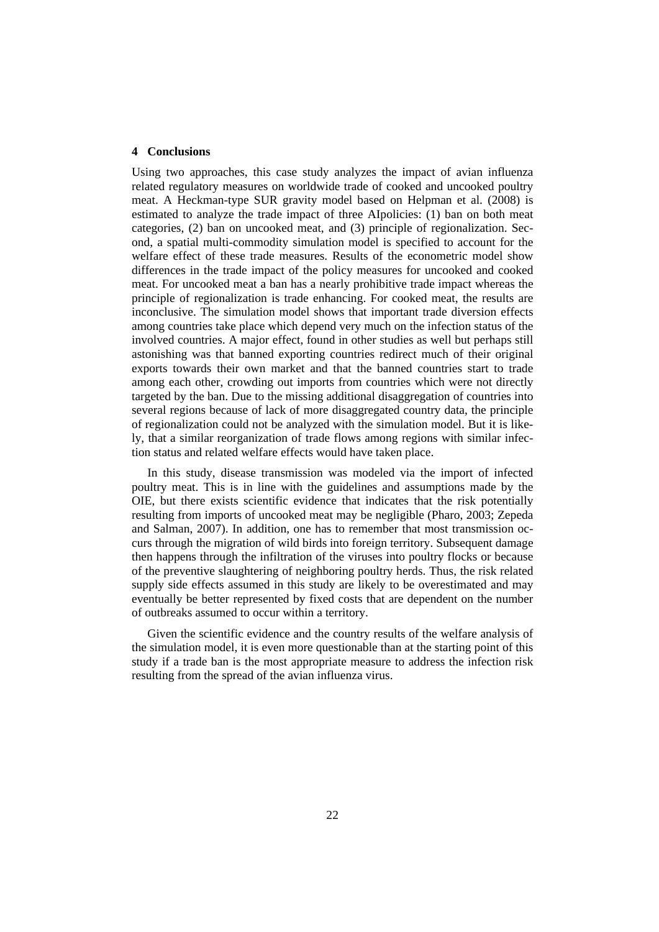#### **4 Conclusions**

Using two approaches, this case study analyzes the impact of avian influenza related regulatory measures on worldwide trade of cooked and uncooked poultry meat. A Heckman-type SUR gravity model based on Helpman et al. (2008) is estimated to analyze the trade impact of three AIpolicies: (1) ban on both meat categories, (2) ban on uncooked meat, and (3) principle of regionalization. Second, a spatial multi-commodity simulation model is specified to account for the welfare effect of these trade measures. Results of the econometric model show differences in the trade impact of the policy measures for uncooked and cooked meat. For uncooked meat a ban has a nearly prohibitive trade impact whereas the principle of regionalization is trade enhancing. For cooked meat, the results are inconclusive. The simulation model shows that important trade diversion effects among countries take place which depend very much on the infection status of the involved countries. A major effect, found in other studies as well but perhaps still astonishing was that banned exporting countries redirect much of their original exports towards their own market and that the banned countries start to trade among each other, crowding out imports from countries which were not directly targeted by the ban. Due to the missing additional disaggregation of countries into several regions because of lack of more disaggregated country data, the principle of regionalization could not be analyzed with the simulation model. But it is likely, that a similar reorganization of trade flows among regions with similar infection status and related welfare effects would have taken place.

In this study, disease transmission was modeled via the import of infected poultry meat. This is in line with the guidelines and assumptions made by the OIE, but there exists scientific evidence that indicates that the risk potentially resulting from imports of uncooked meat may be negligible (Pharo, 2003; Zepeda and Salman, 2007). In addition, one has to remember that most transmission occurs through the migration of wild birds into foreign territory. Subsequent damage then happens through the infiltration of the viruses into poultry flocks or because of the preventive slaughtering of neighboring poultry herds. Thus, the risk related supply side effects assumed in this study are likely to be overestimated and may eventually be better represented by fixed costs that are dependent on the number of outbreaks assumed to occur within a territory.

Given the scientific evidence and the country results of the welfare analysis of the simulation model, it is even more questionable than at the starting point of this study if a trade ban is the most appropriate measure to address the infection risk resulting from the spread of the avian influenza virus.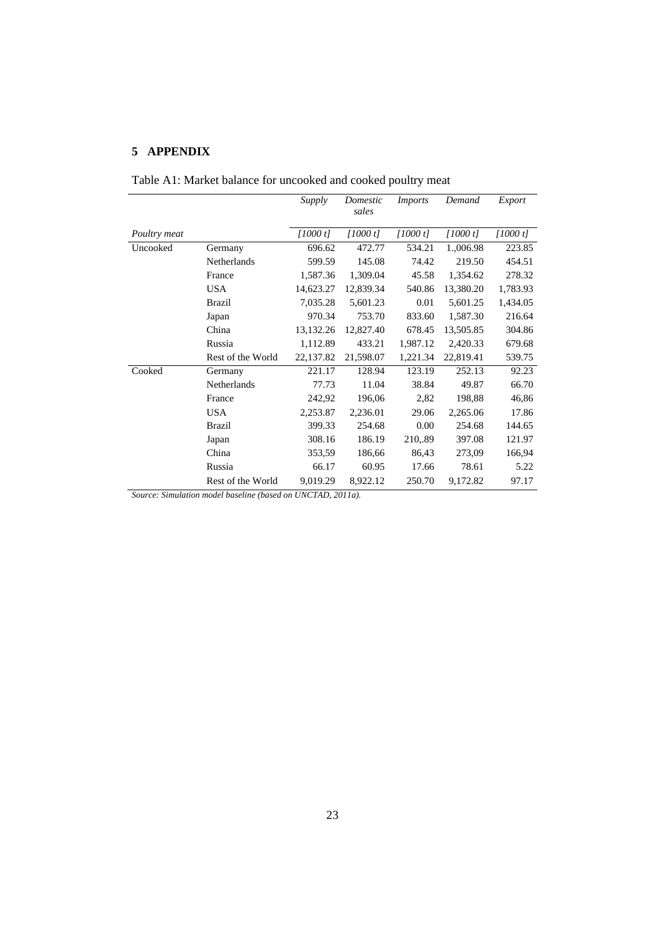### **5 APPENDIX**

|              |                   | Supply    | Domestic<br>sales | <i>Imports</i> | Demand    | Export   |
|--------------|-------------------|-----------|-------------------|----------------|-----------|----------|
| Poultry meat |                   | [1000 t]  | [1000 t]          | [1000 t]       | [1000 t]  | [1000 t] |
| Uncooked     | Germany           | 696.62    | 472.77            | 534.21         | 1.,006.98 | 223.85   |
|              | Netherlands       | 599.59    | 145.08            | 74.42          | 219.50    | 454.51   |
|              | France            | 1,587.36  | 1,309.04          | 45.58          | 1,354.62  | 278.32   |
|              | <b>USA</b>        | 14,623.27 | 12,839.34         | 540.86         | 13,380.20 | 1,783.93 |
|              | <b>Brazil</b>     | 7,035.28  | 5,601.23          | 0.01           | 5,601.25  | 1,434.05 |
|              | Japan             | 970.34    | 753.70            | 833.60         | 1,587.30  | 216.64   |
|              | China             | 13,132.26 | 12,827.40         | 678.45         | 13,505.85 | 304.86   |
|              | Russia            | 1,112.89  | 433.21            | 1,987.12       | 2,420.33  | 679.68   |
|              | Rest of the World | 22,137.82 | 21,598.07         | 1,221.34       | 22,819.41 | 539.75   |
| Cooked       | Germany           | 221.17    | 128.94            | 123.19         | 252.13    | 92.23    |
|              | Netherlands       | 77.73     | 11.04             | 38.84          | 49.87     | 66.70    |
|              | France            | 242,92    | 196,06            | 2,82           | 198,88    | 46,86    |
|              | <b>USA</b>        | 2,253.87  | 2,236.01          | 29.06          | 2,265.06  | 17.86    |
|              | <b>Brazil</b>     | 399.33    | 254.68            | 0.00           | 254.68    | 144.65   |
|              | Japan             | 308.16    | 186.19            | 210,.89        | 397.08    | 121.97   |
|              | China             | 353,59    | 186,66            | 86,43          | 273,09    | 166,94   |
|              | Russia            | 66.17     | 60.95             | 17.66          | 78.61     | 5.22     |
|              | Rest of the World | 9,019.29  | 8,922.12          | 250.70         | 9,172.82  | 97.17    |

|  |  | Table A1: Market balance for uncooked and cooked poultry meat |  |  |
|--|--|---------------------------------------------------------------|--|--|
|  |  |                                                               |  |  |

*Source: Simulation model baseline (based on UNCTAD, 2011a).*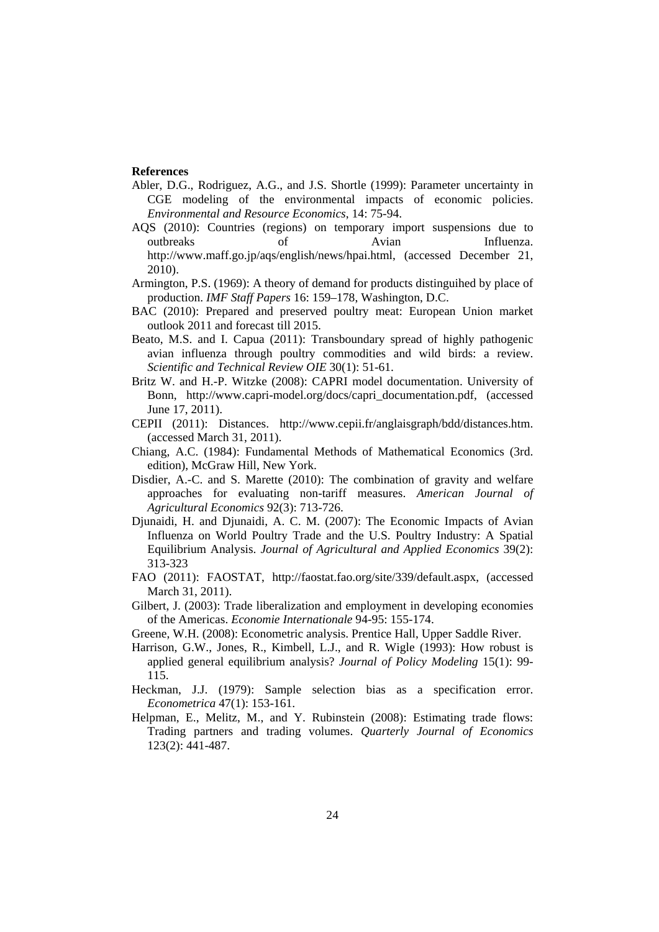#### **References**

- Abler, D.G., Rodriguez, A.G., and J.S. Shortle (1999): Parameter uncertainty in CGE modeling of the environmental impacts of economic policies. *Environmental and Resource Economics*, 14: 75-94.
- AQS (2010): Countries (regions) on temporary import suspensions due to outbreaks of Avian Influenza. http://www.maff.go.jp/aqs/english/news/hpai.html, (accessed December 21, 2010).
- Armington, P.S. (1969): A theory of demand for products distinguihed by place of production. *IMF Staff Papers* 16: 159–178, Washington, D.C.
- BAC (2010): Prepared and preserved poultry meat: European Union market outlook 2011 and forecast till 2015.
- Beato, M.S. and I. Capua (2011): Transboundary spread of highly pathogenic avian influenza through poultry commodities and wild birds: a review. *Scientific and Technical Review OIE* 30(1): 51-61.
- Britz W. and H.-P. Witzke (2008): CAPRI model documentation. University of Bonn, http://www.capri-model.org/docs/capri\_documentation.pdf, (accessed June 17, 2011).
- CEPII (2011): Distances. http://www.cepii.fr/anglaisgraph/bdd/distances.htm. (accessed March 31, 2011).
- Chiang, A.C. (1984): Fundamental Methods of Mathematical Economics (3rd. edition), McGraw Hill, New York.
- Disdier, A.-C. and S. Marette (2010): The combination of gravity and welfare approaches for evaluating non-tariff measures. *American Journal of Agricultural Economics* 92(3): 713-726.
- Djunaidi, H. and Djunaidi, A. C. M. (2007): The Economic Impacts of Avian Influenza on World Poultry Trade and the U.S. Poultry Industry: A Spatial Equilibrium Analysis. *Journal of Agricultural and Applied Economics* 39(2): 313-323
- FAO (2011): FAOSTAT, http://faostat.fao.org/site/339/default.aspx, (accessed March 31, 2011).
- Gilbert, J. (2003): Trade liberalization and employment in developing economies of the Americas. *Economie Internationale* 94-95: 155-174.
- Greene, W.H. (2008): Econometric analysis. Prentice Hall, Upper Saddle River.
- Harrison, G.W., Jones, R., Kimbell, L.J., and R. Wigle (1993): How robust is applied general equilibrium analysis? *Journal of Policy Modeling* 15(1): 99- 115.
- Heckman, J.J. (1979): Sample selection bias as a specification error. *Econometrica* 47(1): 153-161.
- Helpman, E., Melitz, M., and Y. Rubinstein (2008): Estimating trade flows: Trading partners and trading volumes. *Quarterly Journal of Economics* 123(2): 441-487.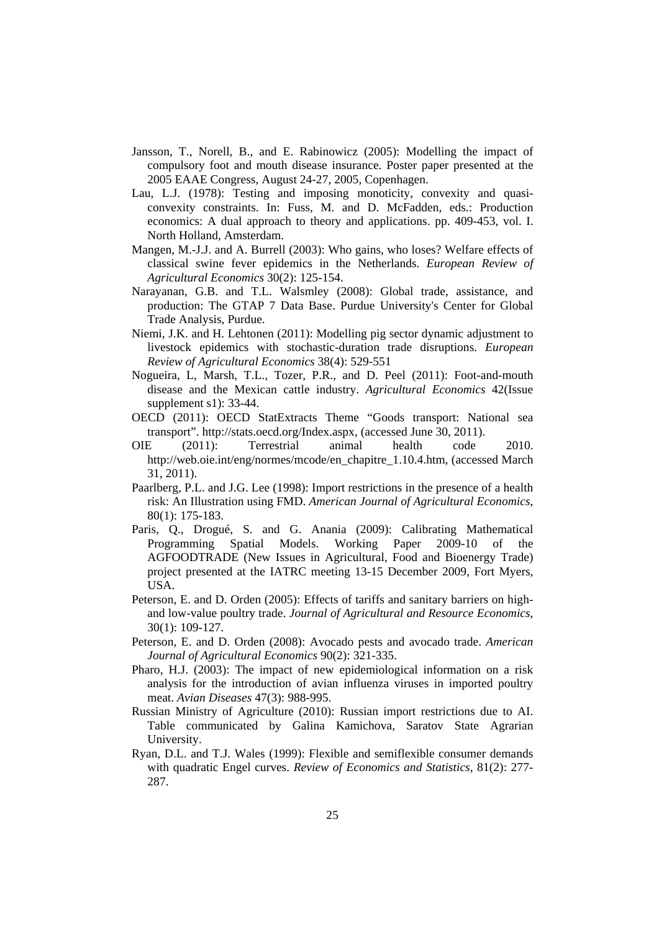- Jansson, T., Norell, B., and E. Rabinowicz (2005): Modelling the impact of compulsory foot and mouth disease insurance. Poster paper presented at the 2005 EAAE Congress, August 24-27, 2005, Copenhagen.
- Lau, L.J. (1978): Testing and imposing monoticity, convexity and quasiconvexity constraints. In: Fuss, M. and D. McFadden, eds.: Production economics: A dual approach to theory and applications. pp. 409-453, vol. I. North Holland, Amsterdam.
- Mangen, M.-J.J. and A. Burrell (2003): Who gains, who loses? Welfare effects of classical swine fever epidemics in the Netherlands. *European Review of Agricultural Economics* 30(2): 125-154.
- Narayanan, G.B. and T.L. Walsmley (2008): Global trade, assistance, and production: The GTAP 7 Data Base. Purdue University's Center for Global Trade Analysis, Purdue.
- Niemi, J.K. and H. Lehtonen (2011): Modelling pig sector dynamic adjustment to livestock epidemics with stochastic-duration trade disruptions. *European Review of Agricultural Economics* 38(4): 529-551
- Nogueira, L, Marsh, T.L., Tozer, P.R., and D. Peel (2011): Foot-and-mouth disease and the Mexican cattle industry. *Agricultural Economics* 42(Issue supplement s1): 33-44.
- OECD (2011): OECD StatExtracts Theme "Goods transport: National sea transport". http://stats.oecd.org/Index.aspx, (accessed June 30, 2011).
- OIE (2011): Terrestrial animal health code 2010. http://web.oie.int/eng/normes/mcode/en\_chapitre\_1.10.4.htm, (accessed March 31, 2011).
- Paarlberg, P.L. and J.G. Lee (1998): Import restrictions in the presence of a health risk: An Illustration using FMD. *American Journal of Agricultural Economics*, 80(1): 175-183.
- Paris, Q., Drogué, S. and G. Anania (2009): Calibrating Mathematical Programming Spatial Models. Working Paper 2009-10 of the AGFOODTRADE (New Issues in Agricultural, Food and Bioenergy Trade) project presented at the IATRC meeting 13-15 December 2009, Fort Myers, USA.
- Peterson, E. and D. Orden (2005): Effects of tariffs and sanitary barriers on highand low-value poultry trade. *Journal of Agricultural and Resource Economics*, 30(1): 109-127.
- Peterson, E. and D. Orden (2008): Avocado pests and avocado trade. *American Journal of Agricultural Economics* 90(2): 321-335.
- Pharo, H.J. (2003): The impact of new epidemiological information on a risk analysis for the introduction of avian influenza viruses in imported poultry meat. *Avian Diseases* 47(3): 988-995.
- Russian Ministry of Agriculture (2010): Russian import restrictions due to AI. Table communicated by Galina Kamichova, Saratov State Agrarian University.
- Ryan, D.L. and T.J. Wales (1999): Flexible and semiflexible consumer demands with quadratic Engel curves. *Review of Economics and Statistics*, 81(2): 277- 287.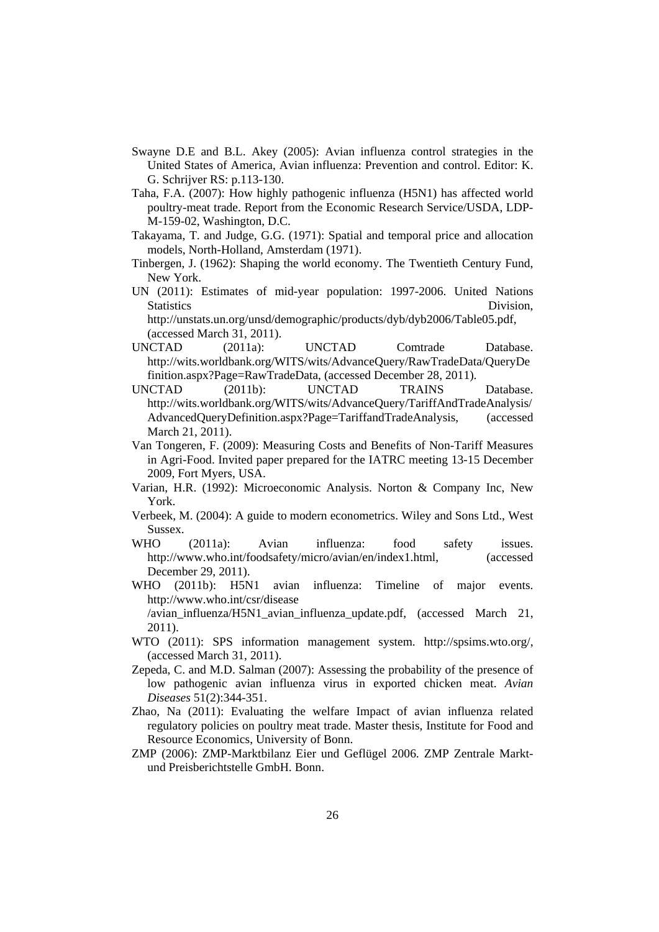- Swayne D.E and B.L. Akey (2005): Avian influenza control strategies in the United States of America, Avian influenza: Prevention and control. Editor: K. G. Schrijver RS: p.113-130.
- Taha, F.A. (2007): How highly pathogenic influenza (H5N1) has affected world poultry-meat trade. Report from the Economic Research Service/USDA, LDP-M-159-02, Washington, D.C.
- Takayama, T. and Judge, G.G. (1971): Spatial and temporal price and allocation models, North-Holland, Amsterdam (1971).
- Tinbergen, J. (1962): Shaping the world economy. The Twentieth Century Fund, New York.
- UN (2011): Estimates of mid-year population: 1997-2006. United Nations Statistics Division,

http://unstats.un.org/unsd/demographic/products/dyb/dyb2006/Table05.pdf, (accessed March 31, 2011).

- UNCTAD (2011a): UNCTAD Comtrade Database. http://wits.worldbank.org/WITS/wits/AdvanceQuery/RawTradeData/QueryDe finition.aspx?Page=RawTradeData, (accessed December 28, 2011).
- UNCTAD (2011b): UNCTAD TRAINS Database. http://wits.worldbank.org/WITS/wits/AdvanceQuery/TariffAndTradeAnalysis/ AdvancedQueryDefinition.aspx?Page=TariffandTradeAnalysis, (accessed March 21, 2011).
- Van Tongeren, F. (2009): Measuring Costs and Benefits of Non-Tariff Measures in Agri-Food. Invited paper prepared for the IATRC meeting 13-15 December 2009, Fort Myers, USA.
- Varian, H.R. (1992): Microeconomic Analysis. Norton & Company Inc, New York.
- Verbeek, M. (2004): A guide to modern econometrics. Wiley and Sons Ltd., West Sussex.
- WHO (2011a): Avian influenza: food safety issues. http://www.who.int/foodsafety/micro/avian/en/index1.html, (accessed December 29, 2011).
- WHO (2011b): H5N1 avian influenza: Timeline of major events. http://www.who.int/csr/disease

/avian\_influenza/H5N1\_avian\_influenza\_update.pdf, (accessed March 21, 2011).

- WTO (2011): SPS information management system. http://spsims.wto.org/, (accessed March 31, 2011).
- Zepeda, C. and M.D. Salman (2007): Assessing the probability of the presence of low pathogenic avian influenza virus in exported chicken meat. *Avian Diseases* 51(2):344-351.
- Zhao, Na (2011): Evaluating the welfare Impact of avian influenza related regulatory policies on poultry meat trade. Master thesis, Institute for Food and Resource Economics, University of Bonn.
- ZMP (2006): ZMP-Marktbilanz Eier und Geflügel 2006. ZMP Zentrale Marktund Preisberichtstelle GmbH. Bonn.